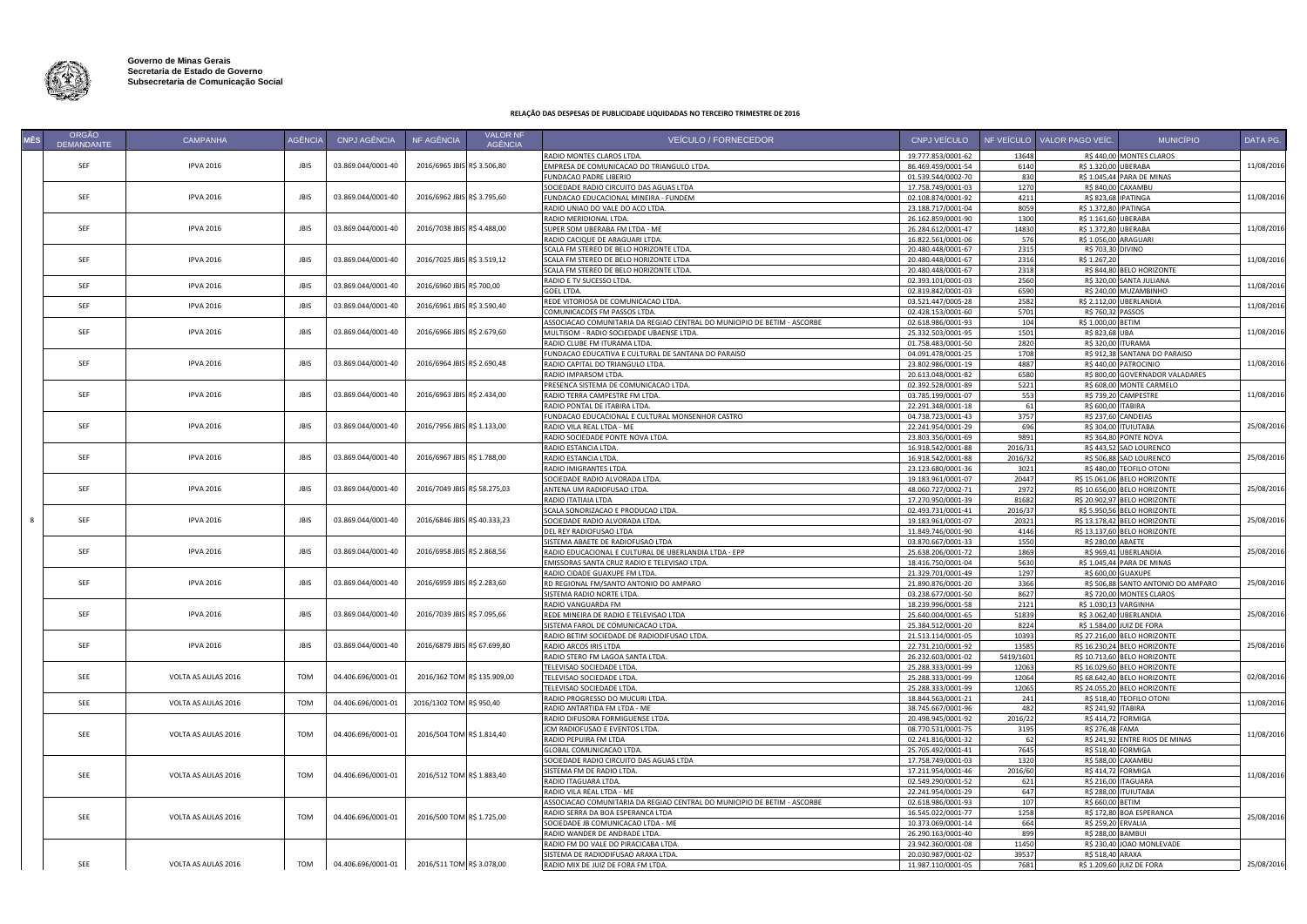

## **RELAÇÃO DAS DESPESAS DE PUBLICIDADE LIQUIDADAS NO TERCEIRO TRIMESTRE DE 2016**

| MÊS | ORGÃO<br><b>DEMANDANTE</b> | <b>CAMPANHA</b>     | <b>AGÊNCIA</b> | CNPJ AGÊNCIA       | NF AGÊNCIA                   | <b>VALOR NF</b><br><b>AGÊNCIA</b> | <b>VEICULO / FORNECEDOR</b>                                                       | CNPJ VEÍCULO                             |                  | NF VEÍCULO VALOR PAGO VEÍC.       | <b>MUNICÍPIO</b>                                            | DATA PG.   |
|-----|----------------------------|---------------------|----------------|--------------------|------------------------------|-----------------------------------|-----------------------------------------------------------------------------------|------------------------------------------|------------------|-----------------------------------|-------------------------------------------------------------|------------|
|     |                            |                     |                |                    |                              |                                   | RADIO MONTES CLAROS LTDA.                                                         | 19.777.853/0001-62                       | 13648            |                                   | R\$ 440,00 MONTES CLAROS                                    |            |
|     | SEF                        | <b>IPVA 2016</b>    | <b>JBIS</b>    | 03.869.044/0001-40 | 2016/6965 JBIS R\$ 3.506,80  |                                   | MPRESA DE COMUNICACAO DO TRIANGULO LTDA.                                          | 86.469.459/0001-54                       | 6140             | R\$ 1.320.00                      | <b>JBERABA</b>                                              | 11/08/2016 |
|     |                            |                     |                |                    |                              |                                   | UNDACAO PADRE LIBERIO                                                             | 01.539.544/0002-70                       | 830              | R\$ 1.045,44                      | ARA DE MINAS                                                |            |
|     |                            |                     |                |                    |                              |                                   | OCIEDADE RADIO CIRCUITO DAS AGUAS LTDA                                            | 17.758.749/0001-03                       | 1270             | R\$ 840,00                        | <b>AXAMBU</b>                                               |            |
|     | SEF                        | <b>IPVA 2016</b>    | <b>JBIS</b>    | 03.869.044/0001-40 | 2016/6962 JBIS R\$ 3.795,60  |                                   | UNDACAO EDUCACIONAL MINEIRA - FUNDEM                                              | 02.108.874/0001-92                       | 4211             | R\$ 823,68                        | PATINGA                                                     | 11/08/2016 |
|     |                            |                     |                |                    |                              |                                   | RADIO UNIAO DO VALE DO ACO LTDA.                                                  | 23.188.717/0001-04                       | 8059             | R\$ 1.372,80                      | PATINGA                                                     |            |
|     |                            |                     |                |                    |                              |                                   | RADIO MERIDIONAL LTDA.                                                            | 26.162.859/0001-90                       | 1300             | R\$ 1.161,60                      | <b>BERABA</b>                                               |            |
|     | SEF                        | <b>IPVA 2016</b>    | <b>JBIS</b>    | 03.869.044/0001-40 | 2016/7038 JBIS R\$ 4.488,00  |                                   | SUPER SOM UBERABA FM LTDA - ME                                                    | 26.284.612/0001-47                       | 14830            | R\$ 1.372,80                      | <b>JRFRABA</b>                                              | 11/08/2016 |
|     |                            |                     |                |                    |                              |                                   | RADIO CACIQUE DE ARAGUARI LTDA.                                                   | 16.822.561/0001-06                       | 576              |                                   | R\$ 1.056,00 ARAGUARI                                       |            |
|     | SEF                        | <b>IPVA 2016</b>    | <b>JBIS</b>    | 03.869.044/0001-40 | 2016/7025 JBIS R\$ 3.519,12  |                                   | SCALA FM STEREO DE BELO HORIZONTE LTDA.<br>SCALA FM STEREO DE BELO HORIZONTE LTDA | 20.480.448/0001-67<br>20.480.448/0001-67 | 2315<br>2316     | R\$ 703,30 DIVINO<br>R\$ 1.267,20 |                                                             | 11/08/2016 |
|     |                            |                     |                |                    |                              |                                   | SCALA FM STEREO DE BELO HORIZONTE LTDA                                            | 20.480.448/0001-67                       | 2318             |                                   | R\$ 844,80 BELO HORIZONTE                                   |            |
|     |                            |                     |                |                    |                              |                                   | RADIO E TV SUCESSO LTDA.                                                          | 02.393.101/0001-03                       | 2560             |                                   | R\$ 320,00 SANTA JULIANA                                    |            |
|     | SEF                        | <b>IPVA 2016</b>    | JBIS           | 03.869.044/0001-40 | 2016/6960 JBIS R\$ 700,00    |                                   | GOEL LTDA.                                                                        | 02.819.842/0001-03                       | 6590             |                                   | R\$ 240,00 MUZAMBINHO                                       | 11/08/2016 |
|     |                            |                     |                |                    |                              |                                   | REDE VITORIOSA DE COMUNICACAO LTDA.                                               | 03.521.447/0005-28                       | 2582             |                                   | R\$ 2.112,00 UBERLANDIA                                     |            |
|     | SEF                        | <b>IPVA 2016</b>    | <b>JBIS</b>    | 03.869.044/0001-40 | 2016/6961 JBIS R\$ 3.590,40  |                                   | COMUNICACOES FM PASSOS LTDA.                                                      | 02.428.153/0001-60                       | 5701             | R\$ 760,32 PASSOS                 |                                                             | 11/08/2016 |
|     |                            |                     |                |                    |                              |                                   | ASSOCIACAO COMUNITARIA DA REGIAO CENTRAL DO MUNICIPIO DE BETIM - ASCORBE          | 02.618.986/0001-93                       | 104              | R\$ 1.000,00 BETIM                |                                                             |            |
|     | SEF                        | <b>IPVA 2016</b>    | <b>JBIS</b>    | 03.869.044/0001-40 | 2016/6966 JBIS R\$ 2.679,60  |                                   | MULTISOM - RADIO SOCIEDADE UBAENSE LTDA.                                          | 25.332.503/0001-95                       | 1501             | R\$ 823,68 L                      | JBA                                                         | 11/08/2016 |
|     |                            |                     |                |                    |                              |                                   | RADIO CLUBE FM ITURAMA LTDA.                                                      | 01.758.483/0001-50                       | 2820             |                                   | R\$ 320,00 ITURAMA                                          |            |
|     |                            |                     |                |                    |                              |                                   | FUNDACAO EDUCATIVA E CULTURAL DE SANTANA DO PARAISO                               | 04.091.478/0001-25                       | 1708             |                                   | R\$ 912,38 SANTANA DO PARAISO                               |            |
|     | SEF                        | <b>IPVA 2016</b>    | <b>JBIS</b>    | 03.869.044/0001-40 | 2016/6964 JBIS R\$ 2.690,48  |                                   | RADIO CAPITAL DO TRIANGULO LTDA.                                                  | 23.802.986/0001-19                       | 4887             |                                   | R\$ 440,00 PATROCINIO                                       | 11/08/2016 |
|     |                            |                     |                |                    |                              |                                   | RADIO IMPARSOM LTDA                                                               | 20.613.048/0001-82                       | 6580             |                                   | R\$ 800,00 GOVERNADOR VALADARES                             |            |
|     |                            |                     |                |                    |                              |                                   | PRESENCA SISTEMA DE COMUNICACAO LTDA.                                             | 02.392.528/0001-89                       | 5221             |                                   | R\$ 608,00 MONTE CARMELO                                    |            |
|     | SEF                        | <b>IPVA 2016</b>    | JBIS           | 03.869.044/0001-40 | 2016/6963 JBIS R\$ 2.434,00  |                                   | RADIO TERRA CAMPESTRE FM LTDA                                                     | 03.785.199/0001-07                       | 553              |                                   | R\$ 739,20 CAMPESTRE                                        | 11/08/2016 |
|     |                            |                     |                |                    |                              |                                   | RADIO PONTAL DE ITABIRA LTDA.                                                     | 22.291.348/0001-18                       | 61               | R\$ 600,00 ITABIRA                |                                                             |            |
|     |                            |                     |                |                    |                              |                                   | UNDACAO EDUCACIONAL E CULTURAL MONSENHOR CASTRO                                   | 04.738.723/0001-43                       | 3757             | R\$ 237,60                        | <b>ANDEIAS</b>                                              |            |
|     | SEF                        | <b>IPVA 2016</b>    | <b>JBIS</b>    | 03.869.044/0001-40 | 2016/7956 JBIS R\$ 1.133,00  |                                   | RADIO VILA REAL LTDA - ME                                                         | 22.241.954/0001-29                       | 696              | R\$ 304,00                        | <b>TUIUTABA</b>                                             | 25/08/2016 |
|     |                            |                     |                |                    |                              |                                   | RADIO SOCIEDADE PONTE NOVA LTDA.                                                  | 23.803.356/0001-69                       | 9891             |                                   | R\$ 364,80 PONTE NOVA                                       |            |
|     |                            |                     |                |                    |                              |                                   | RADIO ESTANCIA LTDA.                                                              | 16.918.542/0001-88                       | 2016/31          |                                   | R\$ 443,52 SAO LOURENCO                                     |            |
|     | SEF                        | <b>IPVA 2016</b>    | <b>JBIS</b>    | 03.869.044/0001-40 | 2016/6967 JBIS R\$ 1.788,00  |                                   | RADIO ESTANCIA LTDA                                                               | 16.918.542/0001-88                       | 2016/32          |                                   | R\$ 506,88 SAO LOURENCO                                     | 25/08/2016 |
|     |                            |                     |                |                    |                              |                                   | RADIO IMIGRANTES LTDA                                                             | 23.123.680/0001-36                       | 3021             |                                   | R\$ 480.00 TEOFILO OTONI                                    |            |
|     | SEF                        | <b>IPVA 2016</b>    | <b>JBIS</b>    |                    | 2016/7049 JBIS R\$ 58.275,03 |                                   | <b>SOCIEDADE RADIO ALVORADA LTDA.</b>                                             | 19.183.961/0001-07                       | 20447            |                                   | R\$ 15.061,06 BELO HORIZONTE                                |            |
|     |                            |                     |                | 03.869.044/0001-40 |                              |                                   | ANTENA UM RADIOFUSAO LTDA                                                         | 48.060.727/0002-71                       | 2972             |                                   | R\$ 10.656,00 BELO HORIZONTE                                | 25/08/2016 |
|     |                            |                     |                |                    |                              |                                   | RADIO ITATIAIA LTDA                                                               | 17.270.950/0001-39                       | 81682<br>2016/37 |                                   | R\$ 20.902,97 BELO HORIZONTE                                |            |
| 8   | SEF                        | <b>IPVA 2016</b>    | <b>JBIS</b>    | 03.869.044/0001-40 | 2016/6846 JBIS R\$ 40.333,23 |                                   | SCALA SONORIZACAO E PRODUCAO LTDA.<br>SOCIEDADE RADIO ALVORADA LTDA.              | 02.493.731/0001-41<br>19.183.961/0001-07 | 20321            |                                   | R\$ 5.950,56 BELO HORIZONTE<br>R\$ 13.178,42 BELO HORIZONTE | 25/08/2016 |
|     |                            |                     |                |                    |                              |                                   | <b>DEL REY RADIOFUSAO LTDA</b>                                                    | 11.849.746/0001-90                       | 4146             |                                   | R\$ 13.137,60 BELO HORIZONTE                                |            |
|     |                            |                     |                |                    |                              |                                   | SISTEMA ABAETE DE RADIOFUSAO LTDA                                                 | 03.870.667/0001-33                       | 1550             | R\$ 280,00 ABAETE                 |                                                             |            |
|     | SEF                        | <b>IPVA 2016</b>    | <b>JBIS</b>    | 03.869.044/0001-40 | 2016/6958 JBIS R\$ 2.868,56  |                                   | RADIO EDUCACIONAL E CULTURAL DE UBERLANDIA LTDA - EPP                             | 25.638.206/0001-72                       | 1869             |                                   | R\$ 969,41 UBERLANDIA                                       | 25/08/2016 |
|     |                            |                     |                |                    |                              |                                   | EMISSORAS SANTA CRUZ RADIO E TELEVISAO LTDA.                                      | 18.416.750/0001-04                       | 5630             |                                   | R\$ 1.045,44 PARA DE MINAS                                  |            |
|     |                            |                     |                |                    |                              |                                   | RADIO CIDADE GUAXUPE FM LTDA                                                      | 21.329.701/0001-49                       | 1297             | R\$ 600,00 G                      | <b>GUAXUPE</b>                                              |            |
|     | SEF                        | <b>IPVA 2016</b>    | <b>JBIS</b>    | 03.869.044/0001-40 | 2016/6959 JBIS R\$ 2.283,60  |                                   | RD REGIONAL FM/SANTO ANTONIO DO AMPARO                                            | 21.890.876/0001-20                       | 3366             |                                   | R\$ 506,88 SANTO ANTONIO DO AMPARO                          | 25/08/2016 |
|     |                            |                     |                |                    |                              |                                   | SISTEMA RADIO NORTE LTDA.                                                         | 03.238.677/0001-50                       | 8627             |                                   | R\$ 720,00 MONTES CLAROS                                    |            |
|     |                            |                     |                |                    |                              |                                   | RADIO VANGUARDA FM                                                                | 18.239.996/0001-58                       | 2121             |                                   | R\$ 1.030,13 VARGINHA                                       |            |
|     | SEF                        | <b>IPVA 2016</b>    | <b>JBIS</b>    | 03.869.044/0001-40 | 2016/7039 JBIS R\$ 7.095,66  |                                   | REDE MINEIRA DE RADIO E TELEVISAO LTDA                                            | 25.640.004/0001-65                       | 51839            | R\$ 3.062,40                      | <b>IBERLANDIA</b>                                           | 25/08/2016 |
|     |                            |                     |                |                    |                              |                                   | ISTEMA FAROL DE COMUNICACAO LTDA.                                                 | 25.384.512/0001-20                       | 8224             | R\$ 1.584,00                      | UIZ DE FORA                                                 |            |
|     |                            |                     |                |                    |                              |                                   | RADIO BETIM SOCIEDADE DE RADIODIFUSAO LTDA.                                       | 21.513.114/0001-05                       | 10393            |                                   | R\$ 27.216,00 BELO HORIZONTE                                |            |
|     | <b>SEF</b>                 | <b>IPVA 2016</b>    | <b>IBIS</b>    | 03.869.044/0001-40 | 2016/6879 JBIS R\$ 67.699,80 |                                   | RADIO ARCOS IRIS LTDA                                                             | 22.731.210/0001-92                       | 13585            |                                   | R\$ 16.230,24 BELO HORIZONTE                                | 25/08/2016 |
|     |                            |                     |                |                    |                              |                                   | RADIO STERO FM LAGOA SANTA LTDA.                                                  | 26.232.603/0001-02                       | 5419/1601        |                                   | R\$ 10.713,60 BELO HORIZONTE                                |            |
|     |                            |                     |                |                    |                              |                                   | TELEVISAO SOCIEDADE LTDA.                                                         | 25.288.333/0001-99                       | 12063            |                                   | R\$ 16.029,60 BELO HORIZONTE                                |            |
|     | SEE                        | VOLTA AS AULAS 2016 | <b>TOM</b>     | 04.406.696/0001-01 | 2016/362 TOM R\$ 135.909,00  |                                   | <b>FELEVISAO SOCIEDADE LTDA.</b>                                                  | 25.288.333/0001-99                       | 12064            |                                   | R\$ 68.642,40 BELO HORIZONTE                                | 02/08/2016 |
|     |                            |                     |                |                    |                              |                                   | <b>FELEVISAO SOCIEDADE LTDA.</b>                                                  | 25.288.333/0001-99                       | 12065            |                                   | R\$ 24.055,20 BELO HORIZONTE                                |            |
|     | SEE                        | VOLTA AS AULAS 2016 | <b>TOM</b>     | 04.406.696/0001-01 | 2016/1302 TOM R\$ 950,40     |                                   | RADIO PROGRESSO DO MUCURI LTDA.                                                   | 18.844.563/0001-21                       | 241              |                                   | R\$ 518,40 TEOFILO OTONI                                    | 11/08/2016 |
|     |                            |                     |                |                    |                              |                                   | RADIO ANTARTIDA FM LTDA - ME                                                      | 38.745.667/0001-96                       | 482              | R\$ 241,92 ITABIRA                |                                                             |            |
|     |                            |                     |                |                    |                              |                                   | RADIO DIFUSORA FORMIGUENSE LTDA.                                                  | 20.498.945/0001-92                       | 2016/22          |                                   | R\$ 414,72 FORMIGA                                          |            |
|     | SEE                        | VOLTA AS AULAS 2016 | TOM            | 04.406.696/0001-01 | 2016/504 TOM R\$ 1.814,40    |                                   | CM RADIOFUSAO E EVENTOS LTDA.                                                     | 08.770.531/0001-75                       | 3195             | R\$ 276,48                        | <b>AMA</b>                                                  | 11/08/2016 |
|     |                            |                     |                |                    |                              |                                   | RADIO PEPUIRA FM LTDA                                                             | 02.241.816/0001-32                       | - 62             |                                   | R\$ 241,92 ENTRE RIOS DE MINAS                              |            |
|     |                            |                     |                |                    |                              |                                   | GLOBAL COMUNICACAO LTDA                                                           | 25.705.492/0001-41                       | 7645             |                                   | R\$ 518,40 FORMIGA                                          |            |
|     |                            |                     |                |                    |                              |                                   | SOCIEDADE RADIO CIRCUITO DAS AGUAS LTDA<br>SISTEMA FM DE RADIO LTDA.              | 17.758.749/0001-03<br>17.211.954/0001-46 | 1320<br>2016/60  | R\$ 414,72                        | R\$ 588,00 CAXAMBU<br>ORMIGA                                |            |
|     | SEE                        | VOLTA AS AULAS 2016 | <b>TOM</b>     | 04.406.696/0001-01 | 2016/512 TOM R\$ 1.883,40    |                                   | RADIO ITAGUARA LTDA.                                                              | 02.549.290/0001-52                       | 621              | R\$ 216.00                        | TAGUARA                                                     | 11/08/2016 |
|     |                            |                     |                |                    |                              |                                   | RADIO VILA REAL LTDA - ME                                                         | 22.241.954/0001-29                       | 647              | R\$ 288,00                        | <b>UIUTABA</b>                                              |            |
|     |                            |                     |                |                    |                              |                                   | ASSOCIACAO COMUNITARIA DA REGIAO CENTRAL DO MUNICIPIO DE BETIM - ASCORBE          | 02.618.986/0001-93                       | 107              | R\$ 660,00                        | ETIM                                                        |            |
|     |                            |                     |                |                    |                              |                                   | RADIO SERRA DA BOA ESPERANCA LTDA                                                 | 16.545.022/0001-77                       | 1258             | R\$ 172,80                        | OA ESPERANCA                                                |            |
|     | SEE                        | VOLTA AS AULAS 2016 | <b>TOM</b>     | 04.406.696/0001-01 | 2016/500 TOM R\$ 1.725,00    |                                   | OCIEDADE JB COMUNICACAO LTDA - ME                                                 | 10.373.069/0001-14                       | 664              | R\$ 259,20                        | RVALIA                                                      | 25/08/2016 |
|     |                            |                     |                |                    |                              |                                   | ADIO WANDER DE ANDRADE LTDA.                                                      | 26.290.163/0001-40                       | 899              | R\$ 288,00                        | AMBUI                                                       |            |
|     |                            |                     |                |                    |                              |                                   | RADIO FM DO VALE DO PIRACICABA LTDA.                                              | 23.942.360/0001-08                       | 11450            | R\$ 230,40                        | <b>OAO MONLEVADE</b>                                        |            |
|     |                            |                     |                |                    |                              |                                   | SISTEMA DE RADIODIFUSAO ARAXA LTDA.                                               | 20.030.987/0001-02                       | 39537            | R\$ 518,40 ARAXA                  |                                                             |            |
|     | SEE                        | VOLTA AS AULAS 2016 | TOM            | 04.406.696/0001-01 | 2016/511 TOM R\$ 3.078,00    |                                   | RADIO MIX DE JUIZ DE FORA FM LTDA.                                                | 11.987.110/0001-05                       | 7681             |                                   | R\$ 1.209,60 JUIZ DE FORA                                   | 25/08/2016 |
|     |                            |                     |                |                    |                              |                                   |                                                                                   |                                          |                  |                                   |                                                             |            |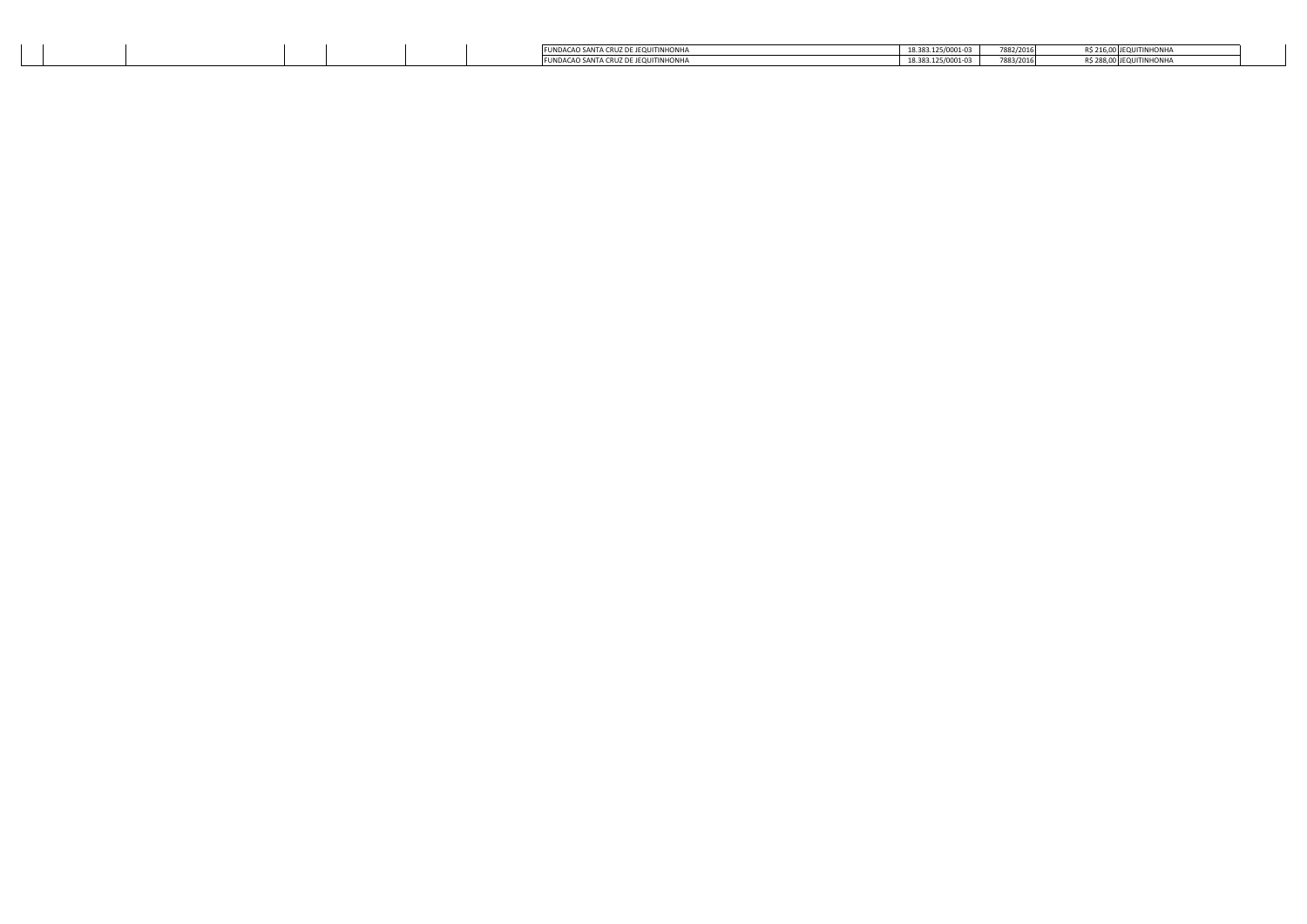|  |  |  | ACAO SANTA CRUZ DE JEQUITINHONH        | 18.383.125/0001-03 | 7882/2016 |         |
|--|--|--|----------------------------------------|--------------------|-----------|---------|
|  |  |  | <b>CAO SANTA CRUZ DE JEOUITINHONHA</b> | 18.383.125/0001-03 | 7883/2016 | 1,00000 |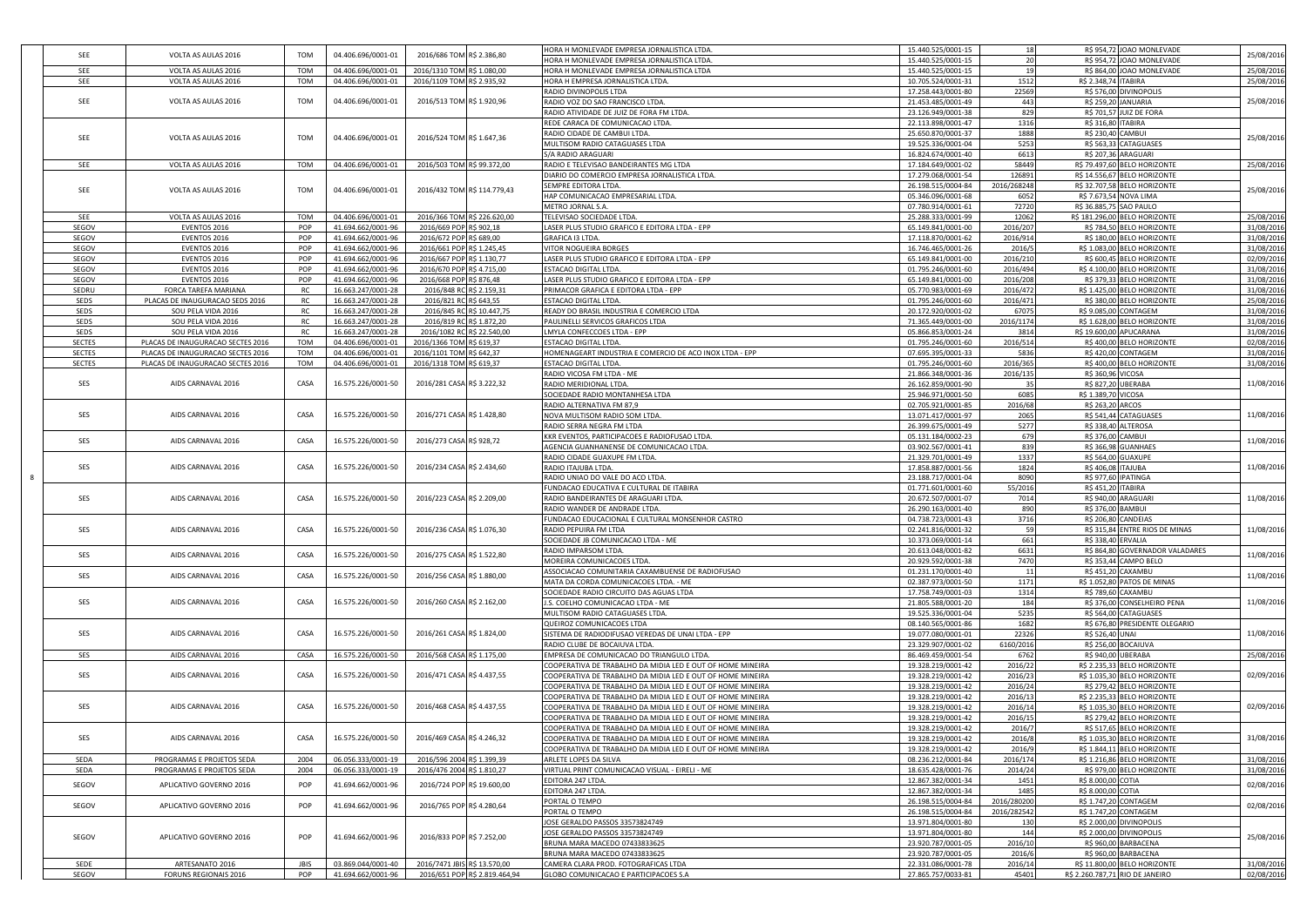| SEE           | VOLTA AS AULAS 2016               | TOM         | 04.406.696/0001-01 | 2016/686 TOM R\$ 2.386,80    |                               | HORA H MONLEVADE EMPRESA JORNALISTICA LTDA<br>HORA H MONLEVADE EMPRESA JORNALISTICA LTDA  | 15.440.525/0001-15<br>15.440.525/0001-15 | 18<br>20     | R\$ 954,72 JOAO MONLEVADE<br>R\$ 954,72 JOAO MONLEVADE | 25/08/2016 |
|---------------|-----------------------------------|-------------|--------------------|------------------------------|-------------------------------|-------------------------------------------------------------------------------------------|------------------------------------------|--------------|--------------------------------------------------------|------------|
| SEE           | VOLTA AS AULAS 2016               | TOM         | 04.406.696/0001-01 | 2016/1310 TOM R\$ 1.080,00   |                               | HORA H MONLEVADE EMPRESA JORNALISTICA LTDA                                                | 15.440.525/0001-15                       |              | R\$ 864,00 JOAO MONLEVADE                              | 25/08/2016 |
| SEE           | VOLTA AS AULAS 2016               | TOM         | 04.406.696/0001-01 | 2016/1109 TOM R\$ 2.935,92   |                               | HORA H EMPRESA JORNALISTICA LTDA.                                                         | 10.705.524/0001-31                       | 1512         | R\$ 2.348,74 ITABIRA                                   | 25/08/2016 |
|               |                                   |             |                    |                              |                               | RADIO DIVINOPOLIS LTDA                                                                    | 17.258.443/0001-80                       | 22569        | R\$ 576,00 DIVINOPOLIS                                 |            |
| SEE           | VOLTA AS AULAS 2016               | TOM         | 04.406.696/0001-01 | 2016/513 TOM R\$ 1.920,96    |                               | RADIO VOZ DO SAO FRANCISCO LTDA                                                           | 21.453.485/0001-49                       | 443          | R\$ 259,20 JANUARIA                                    | 25/08/2016 |
|               |                                   |             |                    |                              |                               | RADIO ATIVIDADE DE JUIZ DE FORA FM LTDA                                                   | 23.126.949/0001-38                       | 829          | R\$ 701,57<br>UIZ DE FORA                              |            |
|               |                                   |             |                    |                              |                               | REDE CARACA DE COMUNICACAO LTDA                                                           | 22.113.898/0001-47                       | 1316         | R\$ 316,80<br><b>ITABIRA</b>                           |            |
| SEE           | VOLTA AS AULAS 2016               | TOM         | 04.406.696/0001-01 |                              |                               | RADIO CIDADE DE CAMBUI LTDA                                                               | 25.650.870/0001-37                       | 1888         | R\$ 230,40 CAMBUI                                      |            |
|               |                                   |             |                    | 2016/524 TOM R\$ 1.647,36    |                               | MULTISOM RADIO CATAGUASES LTDA                                                            | 19.525.336/0001-04                       | 5253         | R\$ 563,33 CATAGUASES                                  | 25/08/2016 |
|               |                                   |             |                    |                              |                               | S/A RADIO ARAGUARI                                                                        | 16.824.674/0001-40                       | 6613         | R\$ 207,36<br>ARAGUARI                                 |            |
| SEE           | VOLTA AS AULAS 2016               | TOM         | 04.406.696/0001-01 | 2016/503 TOM R\$ 99.372,00   |                               | RADIO E TELEVISAO BANDEIRANTES MG LTDA                                                    | 17.184.649/0001-02                       | 58449        | R\$ 79.497,60<br><b>BELO HORIZONTE</b>                 | 25/08/2016 |
|               |                                   |             |                    |                              |                               | DIARIO DO COMERCIO EMPRESA JORNALISTICA LTDA.                                             | 17.279.068/0001-54                       | 126891       | R\$ 14.556,67<br><b>BELO HORIZONTE</b>                 |            |
| SEE           | VOLTA AS AULAS 2016               | TOM         | 04.406.696/0001-01 |                              | 2016/432 TOM R\$ 114.779,43   | SEMPRE EDITORA LTDA                                                                       | 26.198.515/0004-84                       | 2016/268248  | R\$ 32.707,58 BELO HORIZONTE                           | 25/08/2016 |
|               |                                   |             |                    |                              |                               | HAP COMUNICACAO EMPRESARIAL LTDA.                                                         | 05.346.096/0001-68                       | 6052         | R\$ 7.673,54 NOVA LIMA                                 |            |
|               |                                   |             |                    |                              |                               | METRO JORNAL S.A.                                                                         | 07.780.914/0001-61                       | 72720        | R\$ 36.885,75<br>SAO PAULO                             |            |
| SEE           | VOLTA AS AULAS 2016               | TOM         | 04.406.696/0001-01 |                              | 2016/366 TOM R\$ 226.620,00   | TELEVISAO SOCIEDADE LTDA.                                                                 | 25.288.333/0001-99                       | 12062        | R\$ 181.296,00 BELO HORIZONTE                          | 25/08/2016 |
| SEGOV         | EVENTOS 2016                      | POP         | 41.694.662/0001-96 | 2016/669 POP R\$ 902,18      |                               | LASER PLUS STUDIO GRAFICO E EDITORA LTDA - EPP                                            | 65.149.841/0001-00                       | 2016/20      | R\$ 784,50 BELO HORIZONTE                              | 31/08/2016 |
| SEGOV         | EVENTOS 2016                      | POP         | 41.694.662/0001-96 | 2016/672 POP R\$ 689,00      |                               | <b>GRAFICA I3 LTDA</b>                                                                    | 17.118.870/0001-62                       | 2016/914     | R\$ 180,00 BELO HORIZONTE                              | 31/08/2016 |
| SEGOV         | EVENTOS 2016                      | POP         | 41.694.662/0001-96 | 2016/661 POP R\$ 1.245,45    |                               | VITOR NOGUEIRA BORGES                                                                     | 16.746.465/0001-26                       | 2016/5       | R\$ 1.083,00<br><b>BELO HORIZONTE</b>                  | 31/08/2016 |
| SEGOV         | EVENTOS 2016                      | POP         | 41.694.662/0001-96 | 2016/667 POP R\$ 1.130,77    |                               | ASER PLUS STUDIO GRAFICO E EDITORA LTDA - EPP                                             | 65.149.841/0001-00                       | 2016/210     | R\$ 600,45 BELO HORIZONTE                              | 02/09/2016 |
| SEGOV         | EVENTOS 2016                      | POP         | 41.694.662/0001-96 | 2016/670 POP R\$ 4.715,00    |                               | ESTACAO DIGITAL LTDA.                                                                     | 01.795.246/0001-60                       | 2016/494     | R\$ 4.100,00 BELO HORIZONTE                            | 31/08/2016 |
| SEGOV         | EVENTOS 2016                      | POP         | 41.694.662/0001-96 | 2016/668 POP R\$ 876,48      |                               | LASER PLUS STUDIO GRAFICO E EDITORA LTDA - EPP                                            | 65.149.841/0001-00                       | 2016/208     | R\$ 379,33 BELO HORIZONTE                              | 31/08/2016 |
| SEDRU         | FORCA TAREFA MARIANA              | RC          | 16.663.247/0001-28 |                              | 2016/848 RC R\$ 2.159,31      | PRIMACOR GRAFICA E EDITORA LTDA - EPP                                                     | 05.770.983/0001-69                       | 2016/472     | R\$ 1.425,00 BELO HORIZONTE                            | 31/08/2016 |
| SEDS          | PLACAS DE INAUGURACAO SEDS 2016   | RC          | 16.663.247/0001-28 | 2016/821 RC R\$ 643,55       |                               | ESTACAO DIGITAL LTDA.                                                                     | 01.795.246/0001-60                       | 2016/471     | R\$ 380,00 BELO HORIZONTE                              | 25/08/2016 |
| SEDS          | SOU PELA VIDA 2016                | RC          | 16.663.247/0001-28 |                              | 2016/845 RC R\$ 10.447,75     | READY DO BRASIL INDUSTRIA E COMERCIO LTDA                                                 | 20.172.920/0001-02                       | 67075        | R\$ 9.085,00 CONTAGEM                                  | 31/08/2016 |
| SEDS          | SOU PELA VIDA 2016                | <b>RC</b>   | 16.663.247/0001-28 |                              | 2016/819 RC R\$ 1.872,20      | PAULINELLI SERVICOS GRAFICOS LTDA                                                         | 71.365.449/0001-00                       | 2016/1174    | R\$ 1.628,00 BELO HORIZONTE                            | 31/08/2016 |
| SEDS          | SOU PELA VIDA 2016                | RC          | 16.663.247/0001-28 |                              | 2016/1082 RC R\$ 22.540,00    | LMYLA CONFECCOES LTDA - EPP                                                               | 05.866.853/0001-24                       | 3814         | R\$ 19.600,00 APUCARANA                                | 31/08/2016 |
| <b>SECTES</b> | PLACAS DE INAUGURACAO SECTES 2016 | TOM         | 04.406.696/0001-01 | 2016/1366 TOM R\$ 619,37     |                               | ESTACAO DIGITAL LTDA.                                                                     | 01.795.246/0001-60                       | 2016/514     | R\$ 400,00 BELO HORIZONTE                              | 02/08/2016 |
| <b>SECTES</b> | PLACAS DE INAUGURACAO SECTES 2016 | TOM         | 04.406.696/0001-01 | 2016/1101 TOM R\$ 642,37     |                               | HOMENAGEART INDUSTRIA E COMERCIO DE ACO INOX LTDA - EPP                                   | 07.695.395/0001-33                       | 5836         | R\$ 420,00 CONTAGEM                                    | 31/08/2016 |
| <b>SECTES</b> | PLACAS DE INAUGURACAO SECTES 2016 | TOM         | 04.406.696/0001-01 | 2016/1318 TOM R\$ 619,37     |                               | <b>ESTACAO DIGITAL LTDA</b>                                                               | 01.795.246/0001-60                       | 2016/365     | R\$ 400,00 BELO HORIZONTE                              | 31/08/2016 |
|               |                                   |             |                    |                              |                               | RADIO VICOSA FM LTDA - ME                                                                 | 21.866.348/0001-36                       | 2016/135     | R\$ 360,96 VICOSA                                      |            |
| SES           | AIDS CARNAVAL 2016                | CASA        | 16.575.226/0001-50 | 2016/281 CASA R\$ 3.222,32   |                               | RADIO MERIDIONAL LTDA.                                                                    | 26.162.859/0001-90                       | 35           | R\$ 827,20 UBERABA                                     | 11/08/2016 |
|               |                                   |             |                    |                              |                               | SOCIEDADE RADIO MONTANHESA LTDA                                                           | 25.946.971/0001-50                       | 6085         | R\$ 1.389,70 VICOSA                                    |            |
| SES           | AIDS CARNAVAL 2016                | CASA        | 16.575.226/0001-50 |                              |                               | RADIO ALTERNATIVA FM 87,9                                                                 | 02.705.921/0001-85                       | 2016/68      | R\$ 263,20 ARCOS                                       |            |
|               |                                   |             |                    | 2016/271 CASA R\$ 1.428,80   |                               | NOVA MULTISOM RADIO SOM LTDA                                                              | 13.071.417/0001-97                       | 2065<br>5277 | R\$ 541,44 CATAGUASE!                                  | 11/08/2016 |
|               |                                   |             |                    |                              |                               | RADIO SERRA NEGRA FM LTDA                                                                 | 26.399.675/0001-49<br>05.131.184/0002-23 | 679          | R\$ 338,40 ALTEROSA<br>R\$ 376,00 CAMBUI               |            |
| SES           | AIDS CARNAVAL 2016                | CASA        | 16.575.226/0001-50 | 2016/273 CASA R\$ 928,72     |                               | KKR EVENTOS, PARTICIPACOES E RADIOFUSAO LTDA.<br>AGENCIA GUANHANENSE DE COMUNICACAO LTDA. | 03.902.567/0001-41                       | 839          | R\$ 366,98 GUANHAES                                    | 11/08/2016 |
|               |                                   |             |                    |                              |                               | RADIO CIDADE GUAXUPE FM LTDA.                                                             | 21.329.701/0001-49                       | 1337         | R\$ 564,00<br>GUAXUPE                                  |            |
| SES           | AIDS CARNAVAL 2016                | CASA        | 16.575.226/0001-50 | 2016/234 CASA R\$ 2.434,60   |                               | RADIO ITAJUBA LTDA                                                                        | 17.858.887/0001-56                       | 1824         | R\$406,08<br><b>ITAJUBA</b>                            | 11/08/2016 |
|               |                                   |             |                    |                              |                               | RADIO UNIAO DO VALE DO ACO LTDA.                                                          | 23.188.717/0001-04                       | 8090         | R\$ 977,60 IPATINGA                                    |            |
|               |                                   |             |                    |                              |                               | FUNDACAO EDUCATIVA E CULTURAL DE ITABIRA                                                  | 01.771.601/0001-60                       | 55/2016      | R\$ 451,20 ITABIRA                                     |            |
| SES           | AIDS CARNAVAL 2016                | CASA        | 16.575.226/0001-50 | 2016/223 CASA R\$ 2.209,00   |                               | RADIO BANDEIRANTES DE ARAGUARI LTDA.                                                      | 20.672.507/0001-07                       | 7014         | R\$ 940,00 ARAGUARI                                    | 11/08/2016 |
|               |                                   |             |                    |                              |                               | RADIO WANDER DE ANDRADE LTDA                                                              | 26.290.163/0001-40                       | 890          | R\$ 376,00 BAMBUI                                      |            |
|               |                                   |             |                    |                              |                               | FUNDACAO EDUCACIONAL E CULTURAL MONSENHOR CASTRO                                          | 04.738.723/0001-43                       | 3716         | R\$ 206,80 CANDEIAS                                    |            |
| SES           | AIDS CARNAVAL 2016                | CASA        | 16.575.226/0001-50 | 2016/236 CASA R\$ 1.076,30   |                               | RADIO PEPUIRA FM LTDA                                                                     | 02.241.816/0001-32                       | 59           | R\$ 315,84 ENTRE RIOS DE MINAS                         | 11/08/2016 |
|               |                                   |             |                    |                              |                               | SOCIEDADE JB COMUNICACAO LTDA - ME                                                        | 10.373.069/0001-14                       | 661          | R\$ 338,40 ERVALIA                                     |            |
|               |                                   |             |                    |                              |                               | RADIO IMPARSOM LTDA.                                                                      | 20.613.048/0001-82                       | 6631         | R\$ 864,80<br><b>GOVERNADOR VALADARES</b>              |            |
| SES           | AIDS CARNAVAL 2016                | CASA        | 16.575.226/0001-50 | 2016/275 CASA R\$ 1.522,80   |                               | MOREIRA COMUNICACOES LTDA.                                                                | 20.929.592/0001-38                       | 7470         | R\$ 353,44 CAMPO BELO                                  | 11/08/2016 |
|               |                                   |             |                    |                              |                               | ASSOCIACAO COMUNITARIA CAXAMBUENSE DE RADIOFUSAO                                          | 01.231.170/0001-40                       | 11           | R\$ 451,20 CAXAMBU                                     |            |
| SES           | AIDS CARNAVAL 2016                | CASA        | 16.575.226/0001-50 | 2016/256 CASA R\$ 1.880,00   |                               | MATA DA CORDA COMUNICACOES LTDA. - ME                                                     | 02.387.973/0001-50                       | 1171         | R\$ 1.052,80 PATOS DE MINAS                            | 11/08/2016 |
|               |                                   |             |                    |                              |                               | SOCIEDADE RADIO CIRCUITO DAS AGUAS LTDA                                                   | 17.758.749/0001-03                       | 1314         | R\$ 789,60 CAXAMBU                                     |            |
| SES           | AIDS CARNAVAL 2016                | CASA        | 16.575.226/0001-50 | 2016/260 CASA R\$ 2.162,00   |                               | J.S. COELHO COMUNICACAO LTDA - ME                                                         | 21.805.588/0001-20                       | 184          | R\$ 376,00 CONSELHEIRO PENA                            | 11/08/2016 |
|               |                                   |             |                    |                              |                               | MULTISOM RADIO CATAGUASES LTDA.                                                           | 19.525.336/0001-04                       | 5235         | R\$ 564,00 CATAGUASES                                  |            |
|               |                                   |             |                    |                              |                               | QUEIROZ COMUNICACOES LTDA                                                                 | 08.140.565/0001-86                       | 1682         | R\$ 676,80 PRESIDENTE OLEGARIO                         |            |
| SES           | AIDS CARNAVAL 2016                | CASA        | 16.575.226/0001-50 | 2016/261 CASA R\$ 1.824,00   |                               | SISTEMA DE RADIODIFUSAO VEREDAS DE UNAI LTDA - EPP                                        | 19.077.080/0001-01                       | 22326        | R\$ 526,40 UNAI                                        | 11/08/2016 |
|               |                                   |             |                    |                              |                               | RADIO CLUBE DE BOCAIUVA LTDA.                                                             | 23.329.907/0001-02                       | 6160/2016    | R\$ 256,00 BOCAIUVA                                    |            |
| SES           | AIDS CARNAVAL 2016                | CASA        | 16.575.226/0001-50 | 2016/568 CASA R\$ 1.175,00   |                               | EMPRESA DE COMUNICACAO DO TRIANGULO LTDA.                                                 | 86.469.459/0001-54                       | 6762         | R\$ 940,00 UBERABA                                     | 25/08/2016 |
|               |                                   |             |                    |                              |                               | COOPERATIVA DE TRABALHO DA MIDIA LED E OUT OF HOME MINEIRA                                | 19.328.219/0001-42                       | 2016/22      | R\$ 2.235,33 BELO HORIZONTE                            |            |
| SES           | AIDS CARNAVAL 2016                | CASA        | 16.575.226/0001-50 | 2016/471 CASA R\$ 4.437,55   |                               | COOPERATIVA DE TRABALHO DA MIDIA LED E OUT OF HOME MINEIRA                                | 19.328.219/0001-42                       | 2016/23      | R\$ 1.035,30 BELO HORIZONTE                            | 02/09/2016 |
|               |                                   |             |                    |                              |                               | COOPERATIVA DE TRABALHO DA MIDIA LED E OUT OF HOME MINEIRA                                | 19.328.219/0001-42                       | 2016/24      | R\$ 279.42 BELO HORIZONTE                              |            |
|               |                                   |             |                    |                              |                               | COOPERATIVA DE TRABALHO DA MIDIA LED E OUT OF HOME MINEIRA                                | 19.328.219/0001-42                       | 2016/13      | R\$ 2.235,33 BELO HORIZONTE                            |            |
| SES           | AIDS CARNAVAL 2016                | CASA        | 16.575.226/0001-50 | 2016/468 CASA R\$ 4.437,55   |                               | COOPERATIVA DE TRABALHO DA MIDIA LED E OUT OF HOME MINEIRA                                | 19.328.219/0001-42                       | 2016/14      | R\$ 1.035,30 BELO HORIZONTE                            | 02/09/2016 |
|               |                                   |             |                    |                              |                               | COOPERATIVA DE TRABALHO DA MIDIA LED E OUT OF HOME MINEIRA                                | 19.328.219/0001-42                       | 2016/15      | R\$ 279,42 BELO HORIZONTE                              |            |
|               |                                   |             |                    |                              |                               | COOPERATIVA DE TRABALHO DA MIDIA LED E OUT OF HOME MINEIRA                                | 19.328.219/0001-42                       | 2016/7       | R\$ 517,65 BELO HORIZONTE                              |            |
| SES           | AIDS CARNAVAL 2016                | CASA        | 16.575.226/0001-50 | 2016/469 CASA R\$ 4.246,32   |                               | COOPERATIVA DE TRABALHO DA MIDIA LED E OUT OF HOME MINEIRA                                | 19.328.219/0001-42                       | 2016/8       | R\$ 1.035,30 BELO HORIZONTE                            | 31/08/2016 |
|               |                                   |             |                    |                              |                               | COOPERATIVA DE TRABALHO DA MIDIA LED E OUT OF HOME MINEIRA                                | 19.328.219/0001-42                       | 2016/9       | R\$ 1.844,11 BELO HORIZONTE                            |            |
| SEDA          | PROGRAMAS E PROJETOS SEDA         | 2004        | 06.056.333/0001-19 | 2016/596 2004 R\$ 1.399,39   |                               | ARLETE LOPES DA SILVA                                                                     | 08.236.212/0001-84                       | 2016/174     | R\$ 1.216,86 BELO HORIZONTE                            | 31/08/2016 |
| SEDA          | PROGRAMAS E PROJETOS SEDA         | 2004        | 06.056.333/0001-19 | 2016/476 2004 R\$ 1.810,27   |                               | VIRTUAL PRINT COMUNICACAO VISUAL - EIRELI - ME                                            | 18.635.428/0001-76                       | 2014/24      | R\$ 979,00 BELO HORIZONTE                              | 31/08/2016 |
| SEGOV         | APLICATIVO GOVERNO 2016           | POP         | 41.694.662/0001-96 |                              | 2016/724 POP R\$ 19.600,00    | EDITORA 247 LTDA.                                                                         | 12.867.382/0001-34                       | 1451         | R\$ 8.000,00 COTIA                                     | 02/08/2016 |
|               |                                   |             |                    |                              |                               | EDITORA 247 LTDA.                                                                         | 12.867.382/0001-34                       | 1485         | R\$ 8.000,00 COTIA                                     |            |
| SEGOV         |                                   | POP         |                    | 2016/765 POP R\$ 4.280,64    |                               | PORTAL O TEMPO                                                                            | 26.198.515/0004-84                       | 2016/280200  | R\$ 1.747,20 CONTAGEM                                  |            |
|               | APLICATIVO GOVERNO 2016           |             | 41.694.662/0001-96 |                              |                               | PORTAL O TEMPO                                                                            | 26.198.515/0004-84                       | 2016/282542  | R\$ 1.747,20 CONTAGEM                                  | 02/08/2016 |
|               |                                   |             |                    |                              |                               | JOSE GERALDO PASSOS 33573824749                                                           | 13.971.804/0001-80                       | 130          | R\$ 2.000,00 DIVINOPOLIS                               |            |
|               |                                   |             |                    |                              |                               | JOSE GERALDO PASSOS 33573824749                                                           | 13.971.804/0001-80                       | 144          | R\$ 2.000,00 DIVINOPOLIS                               |            |
| SEGOV         | APLICATIVO GOVERNO 2016           | POP         | 41.694.662/0001-96 | 2016/833 POP R\$ 7.252,00    |                               | BRUNA MARA MACEDO 07433833625                                                             | 23.920.787/0001-05                       | 2016/10      | R\$ 960,00 BARBACENA                                   | 25/08/2016 |
|               |                                   |             |                    |                              |                               | BRUNA MARA MACEDO 07433833625                                                             | 23.920.787/0001-05                       | 2016/6       | R\$ 960,00 BARBACENA                                   |            |
| SEDE          | ARTESANATO 2016                   | <b>JBIS</b> | 03.869.044/0001-40 | 2016/7471 JBIS R\$ 13.570,00 |                               | CAMERA CLARA PROD. FOTOGRAFICAS LTDA                                                      | 22.331.086/0001-78                       | 2016/14      | R\$ 11.800,00 BELO HORIZONTE                           | 31/08/2016 |
| SEGOV         | FORUNS REGIONAIS 2016             | POP         | 41.694.662/0001-96 |                              | 2016/651 POP R\$ 2.819.464,94 | GLOBO COMUNICACAO E PARTICIPACOES S.A                                                     | 27.865.757/0033-81                       | 45401        | R\$ 2.260.787,71 RIO DE JANEIRO                        | 02/08/2016 |
|               |                                   |             |                    |                              |                               |                                                                                           |                                          |              |                                                        |            |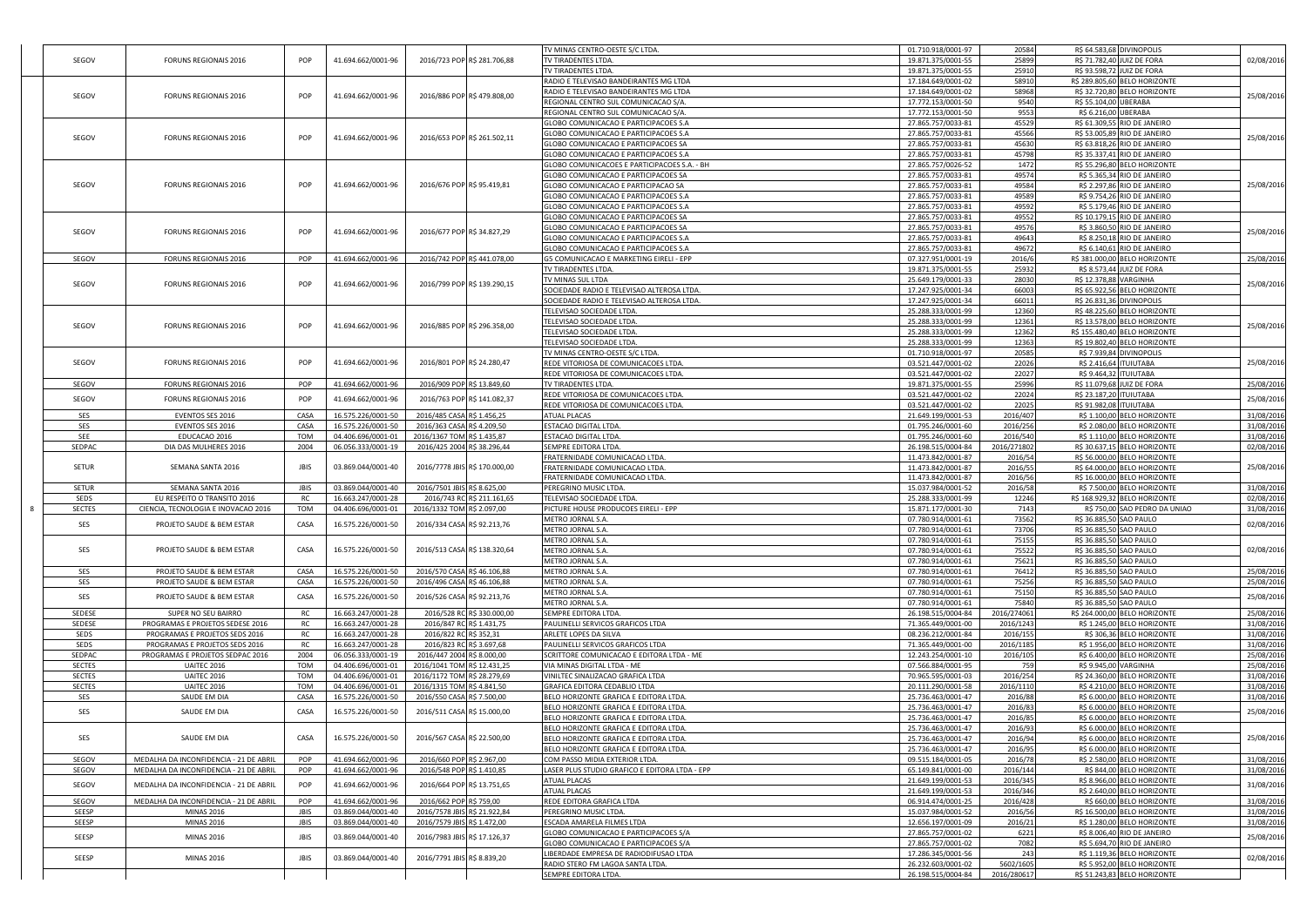|                |                                                                    |             |                                          |                              |                               | TV MINAS CENTRO-OESTE S/C LTDA                           | 01.710.918/0001-97                       | 20584                    | R\$ 64.583,68 DIVINOPOLIS                                   |                          |
|----------------|--------------------------------------------------------------------|-------------|------------------------------------------|------------------------------|-------------------------------|----------------------------------------------------------|------------------------------------------|--------------------------|-------------------------------------------------------------|--------------------------|
| SEGOV          | FORUNS REGIONAIS 2016                                              | POP         | 41.694.662/0001-96                       |                              | 2016/723 POP R\$ 281.706,88   | TV TIRADENTES LTDA                                       | 19.871.375/0001-55                       | 25899                    | R\$ 71.782,40 JUIZ DE FORA                                  | 02/08/2016               |
|                |                                                                    |             |                                          |                              |                               | TV TIRADENTES LTDA                                       | 19.871.375/0001-55                       | 25910                    | R\$ 93.598,72<br><b>JUIZ DE FORA</b>                        |                          |
|                |                                                                    |             |                                          |                              |                               | RADIO E TELEVISAO BANDEIRANTES MG LTDA                   | 17.184.649/0001-02                       | 58910                    | R\$ 289.805,60 BELO HORIZONTE                               |                          |
| SEGOV          | FORUNS REGIONAIS 2016                                              | POP         | 41.694.662/0001-96                       |                              | 2016/886 POP R\$479.808,00    | RADIO E TELEVISAO BANDEIRANTES MG LTDA                   | 17.184.649/0001-02                       | 58968                    | R\$ 32.720,80 BELO HORIZONTE                                | 25/08/2016               |
|                |                                                                    |             |                                          |                              |                               | REGIONAL CENTRO SUL COMUNICACAO S/A                      | 17.772.153/0001-50                       | 9540                     | R\$ 55.104,00 UBERABA                                       |                          |
|                |                                                                    |             |                                          |                              |                               | REGIONAL CENTRO SUL COMUNICACAO S/A.                     | 17.772.153/0001-50                       | 9553                     | R\$ 6.216,00 UBERABA                                        |                          |
|                |                                                                    |             |                                          |                              |                               | GLOBO COMUNICACAO E PARTICIPACOES S.A                    | 27.865.757/0033-81                       | 45529                    | R\$ 61.309,55 RIO DE JANEIRO                                |                          |
| SEGOV          | FORUNS REGIONAIS 2016                                              | POP         | 41.694.662/0001-96                       |                              | 2016/653 POP R\$ 261.502,11   | GLOBO COMUNICACAO E PARTICIPACOES S.A                    | 27.865.757/0033-81                       | 45566                    | R\$ 53.005,89 RIO DE JANEIRO                                | 25/08/2016               |
|                |                                                                    |             |                                          |                              |                               | GLOBO COMUNICACAO E PARTICIPACOES SA                     | 27.865.757/0033-81                       | 45630                    | R\$ 63.818,26 RIO DE JANEIRO                                |                          |
|                |                                                                    |             |                                          |                              |                               | GLOBO COMUNICACAO E PARTICIPACOES S.A                    | 27.865.757/0033-81                       | 45798                    | R\$ 35.337,41<br>RIO DE JANEIRO                             |                          |
|                |                                                                    |             |                                          |                              |                               | GLOBO COMUNICACOES E PARTICIPACOES S.A. - BH             | 27.865.757/0026-52                       | 1472                     | R\$ 55.296,80 BELO HORIZONTE                                |                          |
|                |                                                                    |             |                                          |                              |                               | GLOBO COMUNICACAO E PARTICIPACOES SA                     | 27.865.757/0033-81                       | 49574                    | R\$ 5.365,34 RIO DE JANEIRO                                 |                          |
| SEGOV          | FORUNS REGIONAIS 2016                                              | POP         | 41.694.662/0001-96                       |                              | 2016/676 POP R\$ 95.419,81    | GLOBO COMUNICACAO E PARTICIPACAO SA                      | 27.865.757/0033-81                       | 49584                    | R\$ 2.297,86 RIO DE JANEIRO                                 | 25/08/2016               |
|                |                                                                    |             |                                          |                              |                               | GLOBO COMUNICACAO E PARTICIPACOES S.A                    | 27.865.757/0033-81                       | 49589                    | R\$ 9.754,26 RIO DE JANEIRO                                 |                          |
|                |                                                                    |             |                                          |                              |                               | GLOBO COMUNICACAO E PARTICIPACOES S.A                    | 27.865.757/0033-81                       | 49592                    | R\$ 5.179,46 RIO DE JANEIRO                                 |                          |
|                |                                                                    |             |                                          |                              |                               | GLOBO COMUNICACAO E PARTICIPACOES SA                     | 27.865.757/0033-81                       | 49552                    | R\$ 10.179,15 RIO DE JANEIRO                                |                          |
|                |                                                                    |             |                                          |                              |                               | GLOBO COMUNICACAO E PARTICIPACOES SA                     | 27.865.757/0033-81                       | 49576                    | R\$ 3.860,50 RIO DE JANEIRO                                 |                          |
| SEGOV          | FORUNS REGIONAIS 2016                                              | POP         | 41.694.662/0001-96                       |                              | 2016/677 POP R\$ 34.827,29    | GLOBO COMUNICACAO E PARTICIPACOES S.A                    | 27.865.757/0033-81                       | 49643                    | R\$ 8.250,18 RIO DE JANEIRO                                 | 25/08/2016               |
|                |                                                                    |             |                                          |                              |                               | GLOBO COMUNICACAO E PARTICIPACOES S.A                    | 27.865.757/0033-81                       | 49672                    | R\$ 6.140,61<br>RIO DE JANEIRO                              |                          |
| SEGOV          | FORUNS REGIONAIS 2016                                              | POP         | 41.694.662/0001-96                       |                              | 2016/742 POP R\$ 441.078,00   | G5 COMUNICACAO E MARKETING EIRELI - EPP                  | 07.327.951/0001-19                       | 2016/6                   | R\$ 381,000,00 BELO HORIZONTE                               | 25/08/2016               |
|                |                                                                    |             |                                          |                              |                               | TV TIRADENTES LTDA                                       | 19.871.375/0001-55                       | 25932                    | R\$ 8.573,44 JUIZ DE FORA                                   |                          |
|                |                                                                    |             |                                          |                              |                               | TV MINAS SUL LTDA                                        | 25.649.179/0001-33                       | 28030                    | R\$ 12.378,88 VARGINHA                                      |                          |
| SEGOV          | FORUNS REGIONAIS 2016                                              | POP         | 41.694.662/0001-96                       |                              | 2016/799 POP R\$ 139.290,15   | SOCIEDADE RADIO E TELEVISAO ALTEROSA LTDA.               | 17.247.925/0001-34                       | 66003                    |                                                             | 25/08/2016               |
|                |                                                                    |             |                                          |                              |                               |                                                          |                                          |                          | R\$ 65.922,56 BELO HORIZONTE                                |                          |
|                |                                                                    |             |                                          |                              |                               | SOCIEDADE RADIO E TELEVISAO ALTEROSA LTDA.               | 17.247.925/0001-34                       | 66011                    | R\$ 26.831,36 DIVINOPOLIS                                   |                          |
|                |                                                                    |             |                                          |                              |                               | TELEVISAO SOCIEDADE LTDA                                 | 25.288.333/0001-99                       | 12360                    | R\$ 48.225,60 BELO HORIZONTE                                |                          |
| SEGOV          | FORUNS REGIONAIS 2016                                              | POP         | 41.694.662/0001-96                       |                              | 2016/885 POP R\$ 296.358,00   | TELEVISAO SOCIEDADE LTDA                                 | 25.288.333/0001-99                       | 12361                    | R\$ 13.578,00<br><b>BELO HORIZONTE</b>                      | 25/08/2016               |
|                |                                                                    |             |                                          |                              |                               | TELEVISAO SOCIEDADE LTDA.                                | 25.288.333/0001-99                       | 12362                    | R\$ 155.480,40 BELO HORIZONTE                               |                          |
|                |                                                                    |             |                                          |                              |                               | TELEVISAO SOCIEDADE LTDA.                                | 25.288.333/0001-99                       | 12363                    | R\$ 19.802,40 BELO HORIZONTE                                |                          |
|                |                                                                    |             |                                          |                              |                               | TV MINAS CENTRO-OESTE S/C LTDA                           | 01.710.918/0001-97                       | 20585                    | R\$ 7.939,84 DIVINOPOLIS                                    |                          |
| SEGOV          | FORUNS REGIONAIS 2016                                              | POP         | 41.694.662/0001-96                       |                              | 2016/801 POP R\$ 24.280,47    | REDE VITORIOSA DE COMUNICACOES LTDA.                     | 03.521.447/0001-02                       | 22026                    | R\$ 2.416,64<br><b>ITUIUTABA</b>                            | 25/08/2016               |
|                |                                                                    |             |                                          |                              |                               | REDE VITORIOSA DE COMUNICACOES LTDA.                     | 03.521.447/0001-02                       | 22027                    | R\$ 9.464,32<br><b>ITUIUTABA</b>                            |                          |
| SEGOV          | FORUNS REGIONAIS 2016                                              | POP         | 41.694.662/0001-96                       |                              | 2016/909 POP R\$ 13.849,60    | TV TIRADENTES LTDA.                                      | 19.871.375/0001-55                       | 25996                    | R\$ 11.079,68 JUIZ DE FORA                                  | 25/08/2016               |
| SEGOV          | FORUNS REGIONAIS 2016                                              | POP         | 41.694.662/0001-96                       |                              | 2016/763 POP R\$ 141.082,37   | REDE VITORIOSA DE COMUNICACOES LTDA.                     | 03.521.447/0001-02                       | 22024                    | R\$ 23.187,20 ITUIUTABA                                     | 25/08/2016               |
|                |                                                                    |             |                                          |                              |                               | REDE VITORIOSA DE COMUNICACOES LTDA.                     | 03.521.447/0001-02                       | 22025                    | R\$ 91.982,08<br><b>ITUIUTABA</b>                           |                          |
| SES            | EVENTOS SES 2016                                                   | CASA        | 16.575.226/0001-50                       | 2016/485 CASA R\$ 1.456,25   |                               | <b>ATUAL PLACAS</b>                                      | 21.649.199/0001-53                       | 2016/407                 | R\$ 1.100,00 BELO HORIZONTE                                 | 31/08/2016               |
| SES            | EVENTOS SES 2016                                                   | CASA        | 16.575.226/0001-50                       | 2016/363 CASA R\$ 4.209,50   |                               | ESTACAO DIGITAL LTDA.                                    | 01.795.246/0001-60                       | 2016/256                 | R\$ 2.080,00 BELO HORIZONTE                                 | 31/08/2016               |
| SEE            | EDUCACAO 2016                                                      | <b>TOM</b>  | 04.406.696/0001-01                       | 2016/1367 TOM R\$ 1.435.87   |                               | ESTACAO DIGITAL LTDA                                     | 01.795.246/0001-60                       | 2016/540                 | R\$ 1.110,00 BELO HORIZONTE                                 | 31/08/2016               |
| SEDPAC         | DIA DAS MULHERES 2016                                              | 2004        | 06.056.333/0001-19                       | 2016/425 2004 R\$ 38.296,44  |                               | SEMPRE EDITORA LTDA                                      | 26.198.515/0004-84                       | 2016/271802              | R\$ 30.637,15 BELO HORIZONTE                                | 02/08/2016               |
|                |                                                                    |             |                                          |                              |                               | FRATERNIDADE COMUNICACAO LTDA.                           | 11.473.842/0001-87                       | 2016/54                  | R\$ 56.000,00 BELO HORIZONTE                                |                          |
| SETUR          | SEMANA SANTA 2016                                                  | <b>JBIS</b> | 03.869.044/0001-40                       |                              | 2016/7778 JBIS R\$ 170.000,00 | FRATERNIDADE COMUNICACAO LTDA                            | 11.473.842/0001-87                       | 2016/55                  | R\$ 64.000,00 BELO HORIZONTE                                | 25/08/2016               |
|                |                                                                    |             |                                          |                              |                               | FRATERNIDADE COMUNICACAO LTDA.                           | 11.473.842/0001-87                       | 2016/56                  | R\$ 16.000,00 BELO HORIZONTE                                |                          |
| SETUR          | SEMANA SANTA 2016                                                  | <b>JBIS</b> | 03.869.044/0001-40                       | 2016/7501 JBIS R\$ 8.625,00  |                               | PEREGRINO MUSIC LTDA                                     | 15.037.984/0001-52                       | 2016/58                  | R\$ 7.500,00<br><b>BELO HORIZONTE</b>                       | 31/08/2016               |
| <b>SEDS</b>    | EU RESPEITO O TRANSITO 2016                                        | RC          | 16.663.247/0001-28                       | 2016/743 RC                  | R\$ 211.161,65                | TELEVISAO SOCIEDADE LTDA.                                | 25.288.333/0001-99                       | 12246                    | R\$ 168.929,32<br><b>BELO HORIZONTE</b>                     | 02/08/2016               |
| <b>SECTES</b>  | CIENCIA, TECNOLOGIA E INOVACAO 2016                                | TOM         | 04.406.696/0001-01                       | 2016/1332 TOM R\$ 2.097,00   |                               | PICTURE HOUSE PRODUCOES EIRELI - EPP                     | 15.871.177/0001-30                       | 7143                     | R\$ 750,00 SAO PEDRO DA UNIAO                               | 31/08/2016               |
|                |                                                                    |             |                                          |                              |                               | METRO JORNAL S.A                                         | 07.780.914/0001-61                       | 73562                    | R\$ 36.885,50 SAO PAULO                                     |                          |
| SES            | PROJETO SAUDE & BEM ESTAR                                          | CASA        | 16.575.226/0001-50                       | 2016/334 CASA R\$ 92.213,76  |                               | METRO JORNAL S.A.                                        | 07.780.914/0001-61                       | 73706                    | R\$ 36.885,50 SAO PAULO                                     | 02/08/2016               |
|                |                                                                    |             |                                          |                              |                               | METRO JORNAL S.A.                                        | 07.780.914/0001-61                       | 75155                    | R\$ 36.885,50<br>SAO PAULO                                  |                          |
| SES            | PROJETO SAUDE & BEM ESTAR                                          | CASA        | 16.575.226/0001-50                       |                              | 2016/513 CASA R\$ 138.320,64  | METRO JORNAL S.A.                                        | 07.780.914/0001-61                       | 75522                    | R\$ 36.885,50 SAO PAULO                                     | 02/08/2016               |
|                |                                                                    |             |                                          |                              |                               | METRO JORNAL S.A                                         | 07.780.914/0001-61                       | 75621                    | R\$ 36.885,50 SAO PAULO                                     |                          |
| SES            | PROJETO SAUDE & BEM ESTAR                                          | CASA        | 16.575.226/0001-50                       | 2016/570 CASA R\$ 46.106,88  |                               | METRO JORNAL S.A                                         | 07.780.914/0001-61                       | 76412                    | R\$ 36.885,50 SAO PAULO                                     | 25/08/2016               |
| SES            | PROJETO SAUDE & BEM ESTAR                                          | CASA        | 16.575.226/0001-50                       | 2016/496 CASA R\$ 46.106,88  |                               | METRO JORNAL S.A                                         | 07.780.914/0001-61                       | 75256                    | R\$ 36.885,50<br>SAO PAULO                                  | 25/08/2016               |
|                |                                                                    |             |                                          |                              |                               | METRO JORNAL S.A.                                        | 07.780.914/0001-61                       | 75150                    | R\$ 36.885,50 SAO PAULO                                     |                          |
| SES            | PROJETO SAUDE & BEM ESTAR                                          | CASA        | 16.575.226/0001-50                       | 2016/526 CASA R\$ 92.213,76  |                               | METRO JORNAL S.A                                         | 07.780.914/0001-61                       | 75840                    | R\$ 36.885,50 SAO PAULO                                     | 25/08/2016               |
| SEDESE         | SUPER NO SEU BAIRRO                                                | <b>RC</b>   | 16.663.247/0001-28                       |                              | 2016/528 RC R\$ 330.000,00    | SEMPRE EDITORA LTDA                                      | 26.198.515/0004-84                       | 2016/274061              | R\$ 264.000,00 BELO HORIZONTE                               | 25/08/2016               |
|                |                                                                    |             |                                          |                              |                               |                                                          |                                          |                          |                                                             |                          |
| SEDESE<br>SEDS | PROGRAMAS E PROJETOS SEDESE 2016<br>PROGRAMAS E PROJETOS SEDS 2016 | RC<br>RC    | 16.663.247/0001-28<br>16.663.247/0001-28 | 2016/822 RC R\$ 352,31       | 2016/847 RC R\$ 1.431,75      | PAULINELLI SERVICOS GRAFICOS LTDA                        | 71.365.449/0001-00<br>08.236.212/0001-84 | 2016/124<br>2016/155     | R\$ 1.245,00 BELO HORIZONTE                                 | 31/08/2016<br>31/08/2016 |
| SEDS           | PROGRAMAS E PROJETOS SEDS 2016                                     | RC          | 16.663.247/0001-28                       |                              | 2016/823 RC R\$ 3.697,68      | ARLETE LOPES DA SILVA                                    | 71.365.449/0001-00                       | 2016/1185                | R\$ 306,36 BELO HORIZONTE<br>R\$ 1.956,00 BELO HORIZONTE    | 31/08/2016               |
|                |                                                                    |             |                                          |                              |                               | PAULINELLI SERVICOS GRAFICOS LTDA                        |                                          |                          |                                                             |                          |
| SEDPAC         | PROGRAMAS E PROJETOS SEDPAC 2016                                   | 2004        | 06.056.333/0001-19                       | 2016/447 2004 R\$ 8.000,00   |                               | SCRITTORE COMUNICACAO E EDITORA LTDA - ME                | 12.243.254/0001-10                       | 2016/105                 | R\$ 6.400,00 BELO HORIZONTE                                 | 25/08/2016               |
| <b>SECTES</b>  | UAITEC 2016                                                        | <b>TOM</b>  | 04.406.696/0001-01                       | 2016/1041 TOM R\$ 12.431,25  |                               | VIA MINAS DIGITAL LTDA - ME                              | 07.566.884/0001-95                       | 759                      | R\$ 9.945,00 VARGINHA                                       | 25/08/2016               |
| <b>SECTES</b>  | <b>UAITEC 2016</b>                                                 | TOM         | 04.406.696/0001-01                       | 2016/1172 TOM R\$ 28,279.69  |                               | VINILTEC SINALIZACAO GRAFICA LTDA                        | 70.965.595/0001-03                       | 2016/254                 | R\$ 24.360,00 BELO HORIZONTE                                | 31/08/2016               |
| SECTES         | <b>UAITEC 2016</b>                                                 | TOM         | 04.406.696/0001-01                       | 2016/1315 TOM R\$ 4.841,50   |                               | GRAFICA EDITORA CEDABLIO LTDA                            | 20.111.290/0001-58                       | 2016/1110                | R\$ 4.210,00 BELO HORIZONTE                                 | 31/08/2016               |
| SES            | SAUDE EM DIA                                                       | CASA        | 16.575.226/0001-50                       | 2016/550 CASA R\$ 7.500,00   |                               | BELO HORIZONTE GRAFICA E EDITORA LTDA                    | 25.736.463/0001-47                       | 2016/88                  | R\$ 6.000,00 BELO HORIZONTE                                 | 31/08/2016               |
| SES            | SAUDE EM DIA                                                       | CASA        | 16.575.226/0001-50                       | 2016/511 CASA R\$ 15.000,00  |                               | BELO HORIZONTE GRAFICA E EDITORA LTDA                    | 25.736.463/0001-47                       | 2016/83                  | R\$ 6.000,00 BELO HORIZONTE                                 | 25/08/2016               |
|                |                                                                    |             |                                          |                              |                               | BELO HORIZONTE GRAFICA E EDITORA LTDA.                   | 25.736.463/0001-47                       | 2016/85                  | R\$ 6.000,00 BELO HORIZONTE                                 |                          |
|                |                                                                    |             |                                          |                              |                               | BELO HORIZONTE GRAFICA E EDITORA LTDA                    | 25.736.463/0001-47                       | 2016/93                  | R\$ 6.000,00 BELO HORIZONTE                                 |                          |
| SES            | SAUDE EM DIA                                                       | CASA        | 16.575.226/0001-50                       |                              | 2016/567 CASA R\$ 22.500,00   | BELO HORIZONTE GRAFICA E EDITORA LTDA                    | 25.736.463/0001-47                       | 2016/94                  | R\$ 6,000,00 BELO HORIZONTE                                 | 25/08/2016               |
|                |                                                                    |             |                                          |                              |                               |                                                          | 25.736.463/0001-47                       |                          |                                                             |                          |
|                |                                                                    |             |                                          |                              |                               | BELO HORIZONTE GRAFICA E EDITORA LTDA.                   |                                          | 2016/95                  | R\$ 6.000,00 BELO HORIZONTE                                 |                          |
| SEGOV          | MEDALHA DA INCONFIDENCIA - 21 DE ABRIL                             | POP         | 41.694.662/0001-96                       | 2016/660 POP R\$ 2.967,00    |                               | COM PASSO MIDIA EXTERIOR LTDA.                           | 09.515.184/0001-05                       | 2016/78                  | R\$ 2.580,00 BELO HORIZONTE                                 | 31/08/2016               |
| SEGOV          | MEDALHA DA INCONFIDENCIA - 21 DE ABRIL                             | POP         | 41.694.662/0001-96                       | 2016/548 POP R\$ 1.410,85    |                               | ASER PLUS STUDIO GRAFICO E EDITORA LTDA - EPP            | 65.149.841/0001-00                       | 2016/144                 | R\$ 844,00 BELO HORIZONTE                                   | 31/08/2016               |
|                |                                                                    |             |                                          |                              |                               | <b>ATUAL PLACAS</b>                                      | 21.649.199/0001-53                       | 2016/345                 | R\$ 8.966,00 BELO HORIZONTE                                 |                          |
| SEGOV          | MEDALHA DA INCONFIDENCIA - 21 DE ABRIL                             | POP         | 41.694.662/0001-96                       |                              | 2016/664 POP R\$ 13.751,65    | <b>ATUAL PLACAS</b>                                      | 21.649.199/0001-53                       | 2016/346                 | R\$ 2.640,00 BELO HORIZONTE                                 | 31/08/2016               |
| SEGOV          | MEDALHA DA INCONFIDENCIA - 21 DE ABRIL                             | POP         | 41.694.662/0001-96                       | 2016/662 POP R\$ 759,00      |                               | REDE EDITORA GRAFICA LTDA                                | 06.914.474/0001-25                       | 2016/428                 | R\$ 660,00 BELO HORIZONTE                                   | 31/08/2016               |
| SEESP          | <b>MINAS 2016</b>                                                  | <b>JBIS</b> | 03.869.044/0001-40                       | 2016/7578 JBIS R\$ 21.922,84 |                               | PEREGRINO MUSIC LTDA.                                    | 15.037.984/0001-52                       | 2016/56                  | R\$ 16.500,00 BELO HORIZONTE                                | 31/08/2016               |
| SEESP          |                                                                    | <b>JBIS</b> |                                          |                              |                               | ESCADA AMARELA FILMES LTDA                               | 12.656.197/0001-09                       | 2016/21                  | R\$ 1.280,00 BELO HORIZONTE                                 |                          |
|                | <b>MINAS 2016</b>                                                  |             | 03.869.044/0001-40                       | 2016/7579 JBIS R\$ 1.472,00  |                               | GLOBO COMUNICACAO E PARTICIPACOES S/A                    | 27.865.757/0001-02                       |                          | R\$ 8,006,40 RIO DE JANEIRO                                 | 31/08/2016               |
| SEESP          | <b>MINAS 2016</b>                                                  | <b>JBIS</b> | 03.869.044/0001-40                       | 2016/7983 JBIS R\$ 17.126,37 |                               | GLOBO COMUNICACAO E PARTICIPACOES S/A                    |                                          | 6221                     |                                                             | 25/08/2016               |
|                |                                                                    |             |                                          |                              |                               |                                                          | 27.865.757/0001-02                       | 7082                     | R\$ 5.694,70 RIO DE JANEIRO                                 |                          |
| SEESP          | <b>MINAS 2016</b>                                                  | <b>JBIS</b> | 03.869.044/0001-40                       | 2016/7791 JBIS R\$ 8.839,20  |                               | IBERDADE EMPRESA DE RADIODIFUSAO LTDA                    | 17.286.345/0001-56                       | 243                      | R\$ 1.119,36 BELO HORIZONTE                                 | 02/08/2016               |
|                |                                                                    |             |                                          |                              |                               | RADIO STERO FM LAGOA SANTA LTDA.<br>SEMPRE EDITORA LTDA. | 26.232.603/0001-02<br>26.198.515/0004-84 | 5602/1605<br>2016/280617 | R\$ 5.952,00 BELO HORIZONTE<br>R\$ 51.243.83 BELO HORIZONTE |                          |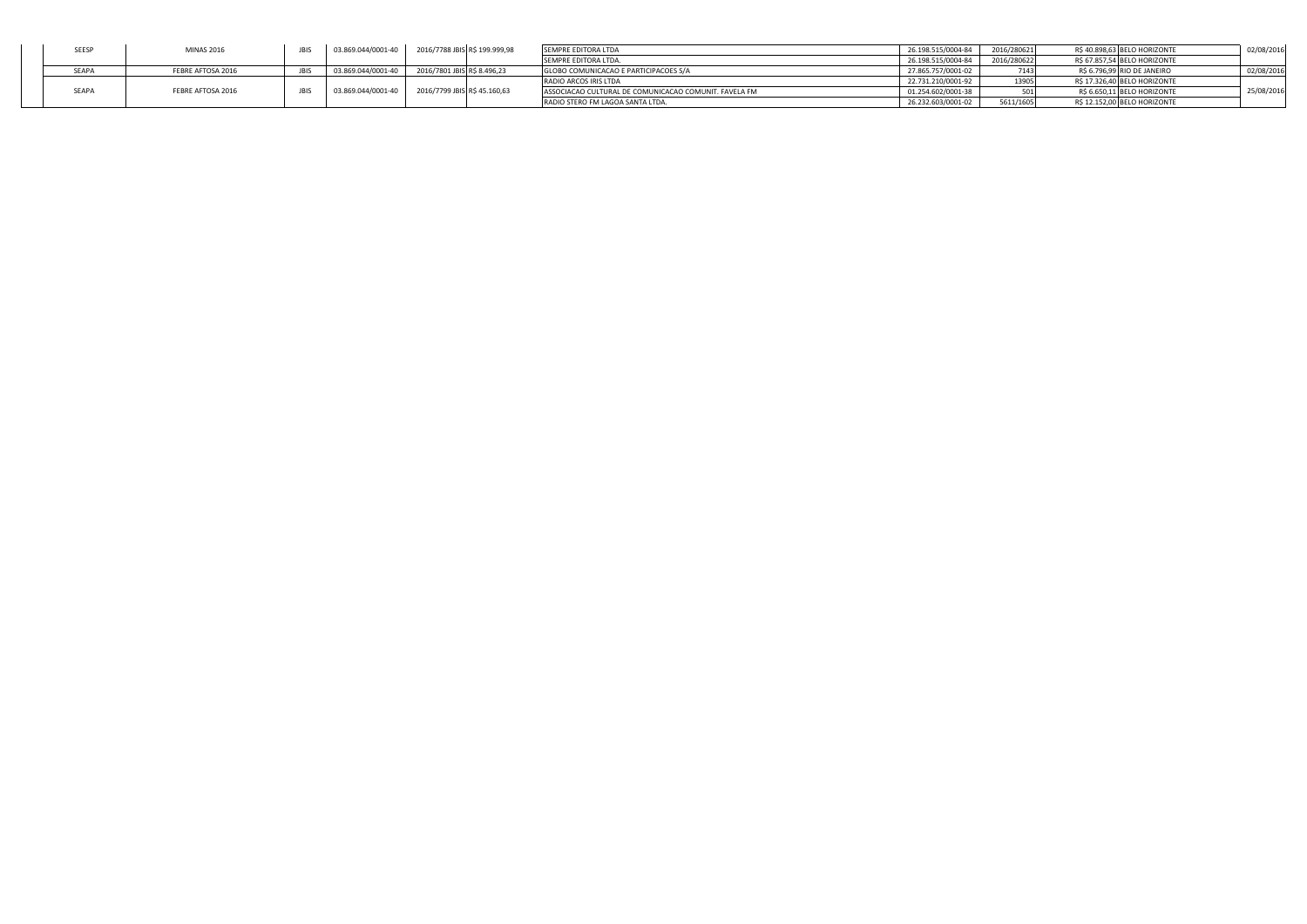|       | <b>MINAS 2016</b> | 03.869.044/0001-40 | 2016/7788 JBIS R\$ 199.999,98 | SEMPRE EDITORA LTDA                                   | 26.198.515/0004-84 | 2016/280621 | R\$ 40.898.63 BELO HORIZONTE | 02/08/2016 |
|-------|-------------------|--------------------|-------------------------------|-------------------------------------------------------|--------------------|-------------|------------------------------|------------|
|       |                   |                    |                               | SEMPRE EDITORA LTDA.                                  | 26.198.515/0004-84 | 2016/280622 | R\$ 67.857.54 BELO HORIZONTE |            |
| SEAPA | FEBRE AFTOSA 2016 | 03.869.044/0001-40 | 2016/7801 JBIS R\$ 8.496.23   | GLOBO COMUNICACAO E PARTICIPACOES S/A                 | 27.865.757/0001-02 | 7143        | R\$ 6.796.99 RIO DE JANEIRO  | 02/08/2016 |
|       |                   |                    |                               | RADIO ARCOS IRIS LTDA                                 | 22.731.210/0001-92 |             | R\$ 17.326.40 BELO HORIZONTE |            |
|       | FEBRE AFTOSA 2016 | 03.869.044/0001-40 | 2016/7799 JBIS R\$ 45.160,63  | ASSOCIACAO CULTURAL DE COMUNICACAO COMUNIT. FAVELA FM | 01.254.602/0001-38 |             | R\$ 6.650,11 BELO HORIZONTE  | 25/08/2016 |
|       |                   |                    |                               | RADIO STERO FM LAGOA SANTA LTDA.                      | 26.232.603/0001-02 | 5611/1605   | R\$ 12.152,00 BELO HORIZONTE |            |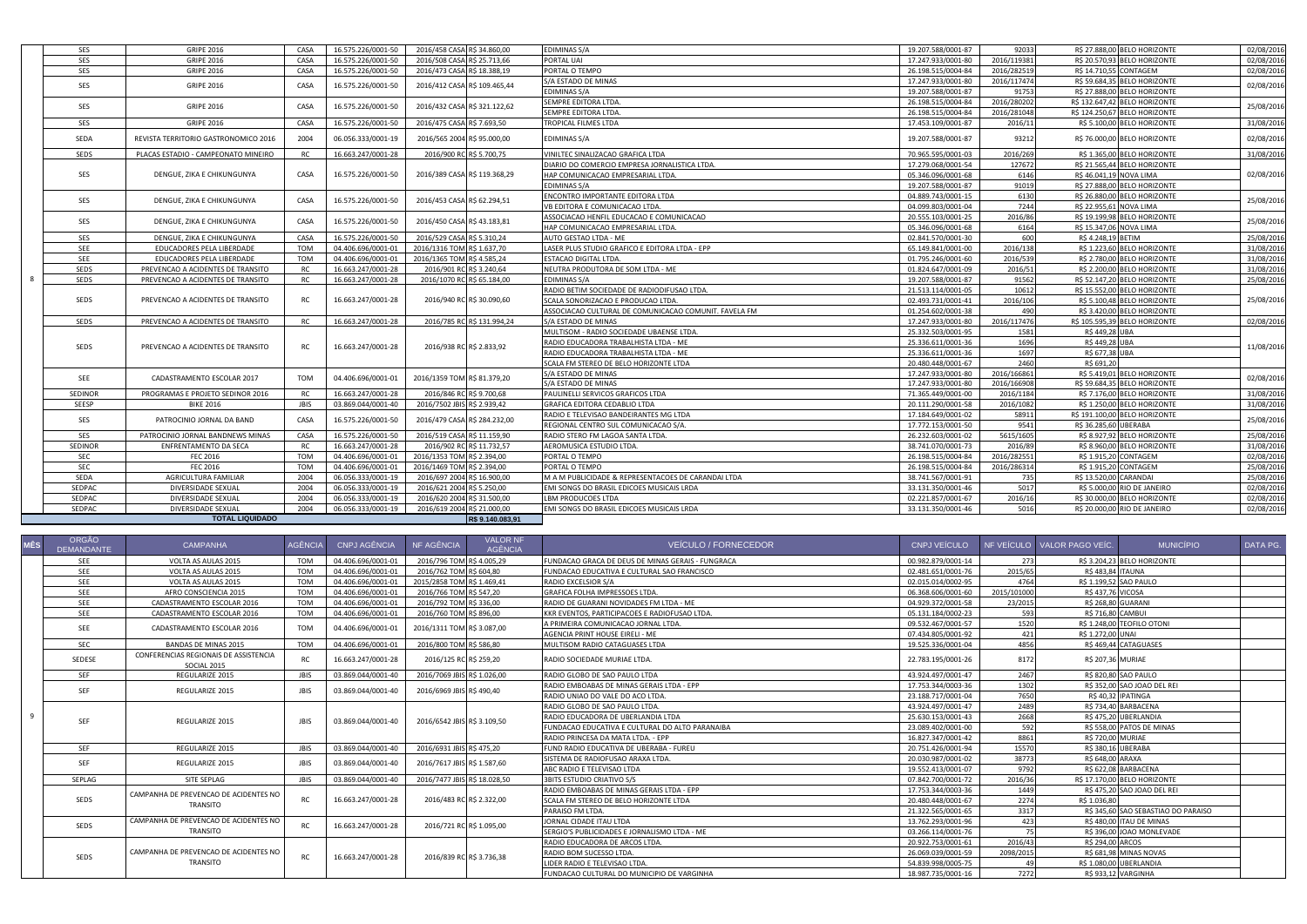|               | <b>TOTAL LIQUIDADO</b>               |             |                    | R\$ 9.140.083.91             |                                                       |                                          |                    |                        |                                                         |            |
|---------------|--------------------------------------|-------------|--------------------|------------------------------|-------------------------------------------------------|------------------------------------------|--------------------|------------------------|---------------------------------------------------------|------------|
| <b>SEDPAC</b> | DIVERSIDADE SEXUAL                   | 2004        | 06.056.333/0001-19 | 2016/619 2004 R\$ 21,000.00  | EMI SONGS DO BRASIL EDICOES MUSICAIS LRDA             | 33.131.350/0001-46                       | 5016               |                        | R\$ 20.000,00 RIO DE JANEIRO                            | 02/08/2016 |
| SEDPAC        | DIVERSIDADE SEXUAL                   | 2004        | 06.056.333/0001-19 | 2016/620 2004 R\$ 31.500,00  | <b>LBM PRODUCOES LTDA</b>                             | 02.221.857/0001-67                       | 2016/16            |                        | R\$ 30.000,00 BELO HORIZONTE                            | 02/08/2016 |
| SEDPAC        | DIVERSIDADE SEXUAL                   | 2004        | 06.056.333/0001-19 | 2016/621 2004 R\$ 5.250,00   | EMI SONGS DO BRASIL EDICOES MUSICAIS LRDA             | 33.131.350/0001-46                       | 5017               |                        | R\$ 5.000,00 RIO DE JANEIRO                             | 02/08/2016 |
| SEDA          | AGRICULTURA FAMILIAR                 | 2004        | 06.056.333/0001-19 | 2016/697 2004 R\$ 16.900,00  | M A M PUBLICIDADE & REPRESENTACOES DE CARANDAI LTDA   | 38.741.567/0001-91                       | 735                | R\$ 13.520.00 CARANDAI |                                                         | 25/08/2016 |
| SEC           | <b>FEC 2016</b>                      | <b>TOM</b>  | 04.406.696/0001-01 | 2016/1469 TOM R\$ 2.394,00   | PORTAL O TEMPO                                        | 26.198.515/0004-84                       | 2016/286314        |                        | R\$ 1.915.20 CONTAGEM                                   | 25/08/2016 |
| SEC           | <b>FEC 2016</b>                      | <b>TOM</b>  | 04.406.696/0001-01 | 2016/1353 TOM R\$ 2.394.00   | PORTAL O TEMPO                                        | 26.198.515/0004-84                       | 2016/282551        |                        | R\$ 1.915.20 CONTAGEM                                   | 02/08/2016 |
| SEDINOR       | ENFRENTAMENTO DA SECA                | <b>RC</b>   | 16.663.247/0001-28 | 2016/902 RC R\$ 11.732,57    | AEROMUSICA ESTUDIO LTDA.                              | 38.741.070/0001-73                       | 2016/89            |                        | R\$ 8.960,00 BELO HORIZONTE                             | 31/08/2016 |
| SES           | PATROCINIO JORNAL BANDNEWS MINAS     | CASA        | 16.575.226/0001-50 | 2016/519 CASA R\$ 11.159,90  | RADIO STERO FM LAGOA SANTA LTDA.                      | 26.232.603/0001-02                       | 5615/1605          |                        | R\$ 8.927,92 BELO HORIZONTE                             | 25/08/2016 |
| SES           | PATROCINIO JORNAL DA BAND            | CASA        | 16.575.226/0001-50 | 2016/479 CASA R\$ 284.232,00 | REGIONAL CENTRO SUL COMUNICACAO S/A.                  | 17.772.153/0001-50                       | 9541               | R\$ 36,285,60 UBERABA  |                                                         | 25/08/2016 |
|               |                                      |             |                    |                              | RADIO E TELEVISAO BANDEIRANTES MG LTDA                | 17.184.649/0001-02                       | 58911              |                        | R\$ 191.100,00 BELO HORIZONTE                           |            |
| SEESP         | <b>BIKE 2016</b>                     | <b>JBIS</b> | 03.869.044/0001-40 | 2016/7502 JBIS R\$ 2.939,42  | <b>GRAFICA EDITORA CEDABLIO LTDA</b>                  | 20.111.290/0001-58                       | 2016/1082          |                        | R\$ 1,250.00 BELO HORIZONTE                             | 31/08/2016 |
| SEDINOR       | PROGRAMAS E PROJETO SEDINOR 2016     | RC.         | 16.663.247/0001-28 | 2016/846 RC R\$ 9.700,68     | PAULINELLI SERVICOS GRAFICOS LTDA                     | 71.365.449/0001-00                       | 2016/1184          |                        | R\$ 7.176,00 BELO HORIZONTE                             | 31/08/2016 |
| SEE           | CADASTRAMENTO ESCOLAR 2017           | <b>TOM</b>  | 04.406.696/0001-01 | 2016/1359 TOM R\$ 81.379,20  | S/A ESTADO DE MINAS                                   | 17.247.933/0001-80                       | 2016/166908        |                        | R\$ 59.684,35 BELO HORIZONTE                            | 02/08/2016 |
|               |                                      |             |                    |                              | S/A ESTADO DE MINAS                                   | 17.247.933/0001-80                       | 2016/166861        |                        | R\$ 5.419,01 BELO HORIZONTE                             |            |
|               |                                      |             |                    |                              | SCALA FM STEREO DE BELO HORIZONTE LTDA                | 20.480.448/0001-67                       | 2460               | R\$ 691.20             |                                                         |            |
| SEDS          | PREVENCAO A ACIDENTES DE TRANSITO    | <b>RC</b>   | 16.663.247/0001-28 | 2016/938 RC R\$ 2.833,92     | RADIO EDUCADORA TRABALHISTA LTDA - ME                 | 25.336.611/0001-36                       | 1697               | R\$ 677.38 UBA         |                                                         | 11/08/2016 |
|               |                                      |             |                    |                              | RADIO EDUCADORA TRABALHISTA LTDA - ME                 | 25.336.611/0001-36                       | 1696               | R\$ 449,28 UBA         |                                                         |            |
|               |                                      |             |                    |                              | MULTISOM - RADIO SOCIEDADE UBAENSE LTDA.              | 25.332.503/0001-95                       | 1581               | R\$ 449.28 UBA         |                                                         |            |
| SEDS          | PREVENCAO A ACIDENTES DE TRANSITO    | <b>RC</b>   | 16.663.247/0001-28 | 2016/785 RC R\$ 131.994,24   | S/A ESTADO DE MINAS                                   | 17.247.933/0001-80                       | 2016/117476        |                        | R\$ 105.595,39 BELO HORIZONTE                           | 02/08/2016 |
|               |                                      |             |                    |                              | ASSOCIACAO CULTURAL DE COMUNICACAO COMUNIT. FAVELA FM | 01.254.602/0001-38                       | 490                |                        | R\$ 3.420,00 BELO HORIZONTE                             |            |
| SEDS          | PREVENCAO A ACIDENTES DE TRANSITO    | <b>RC</b>   | 16.663.247/0001-28 | 2016/940 RC R\$ 30.090,60    | SCALA SONORIZACAO E PRODUCAO LTDA.                    | 02.493.731/0001-41                       | 2016/106           |                        | R\$ 5.100,48 BELO HORIZONTE                             | 25/08/2016 |
|               |                                      |             |                    |                              | RADIO BETIM SOCIEDADE DE RADIODIFUSAO LTDA.           | 21.513.114/0001-05                       | 10612              |                        | R\$ 15.552.00 BELO HORIZONTE                            |            |
| <b>SEDS</b>   | PREVENCAO A ACIDENTES DE TRANSITO    | <b>RC</b>   | 16.663.247/0001-28 | 2016/1070 RC R\$ 65.184,00   | <b>EDIMINAS S/A</b>                                   | 19.207.588/0001-87                       | 91562              |                        | R\$ 52.147,20 BELO HORIZONTE                            | 25/08/2016 |
| SEDS          | PREVENCAO A ACIDENTES DE TRANSITO    | <b>RC</b>   | 16.663.247/0001-28 | 2016/901 RC R\$ 3.240,64     | NEUTRA PRODUTORA DE SOM LTDA - ME                     | 01.824.647/0001-09                       | 2016/51            |                        | R\$ 2.200,00 BELO HORIZONTE                             | 31/08/2016 |
| SEE           | EDUCADORES PELA LIBERDADE            | <b>TOM</b>  | 04.406.696/0001-01 | 2016/1365 TOM R\$ 4.585.24   | ESTACAO DIGITAL LTDA.                                 | 01.795.246/0001-60                       | 2016/539           |                        | R\$ 2.780.00 BELO HORIZONTE                             | 31/08/2016 |
| SEE           | EDUCADORES PELA LIBERDADE            | <b>TOM</b>  | 04.406.696/0001-01 | 2016/1316 TOM R\$ 1,637.70   | LASER PLUS STUDIO GRAFICO E EDITORA LTDA - EPP        | 65.149.841/0001-00                       | 2016/138           |                        | R\$ 1.223.60 BELO HORIZONTE                             | 31/08/2016 |
| SES           | DENGUE, ZIKA E CHIKUNGUNYA           | CASA        | 16.575.226/0001-50 | 2016/529 CASA R\$ 5.310.24   | AUTO GESTAO LTDA - ME                                 | 02.841.570/0001-30                       | 600                | R\$ 4.248.19 BETIM     |                                                         | 25/08/2016 |
| SES           | DENGUE, ZIKA E CHIKUNGUNYA           | CASA        | 16.575.226/0001-50 | 2016/450 CASA R\$ 43.183,81  | HAP COMUNICACAO EMPRESARIAL LTDA.                     | 05.346.096/0001-68                       | 6164               |                        | R\$ 15.347,06 NOVA LIMA                                 | 25/08/2016 |
|               |                                      |             |                    |                              | ASSOCIACAO HENFIL EDUCACAO E COMUNICACAO              | 20.555.103/0001-25                       | 2016/86            |                        | R\$ 19.199,98 BELO HORIZONTE                            |            |
| SES           | DENGUE, ZIKA E CHIKUNGUNYA           | CASA        | 16.575.226/0001-50 | 2016/453 CASA R\$ 62.294,51  | VB EDITORA E COMUNICACAO LTDA.                        | 04.099.803/0001-04                       | 7244               |                        | R\$ 22.955.61 NOVA LIMA                                 | 25/08/2016 |
|               |                                      |             |                    |                              | ENCONTRO IMPORTANTE EDITORA LTDA                      | 04.889.743/0001-15                       | 6130               |                        | R\$ 26.880,00 BELO HORIZONTE                            |            |
|               |                                      |             |                    |                              | <b>EDIMINAS S/A</b>                                   | 19.207.588/0001-87                       | 91019              |                        | R\$ 27.888,00 BELO HORIZONTE                            |            |
| SES           | DENGUE, ZIKA E CHIKUNGUNYA           | CASA        | 16.575.226/0001-50 | 2016/389 CASA R\$ 119.368,29 | HAP COMUNICACAO EMPRESARIAL LTDA.                     | 17.279.068/0001-54<br>05.346.096/0001-68 | 6146               |                        | R\$ 21.565,44 BELO HORIZONTE<br>R\$ 46.041,19 NOVA LIMA | 02/08/2016 |
|               | PLACAS ESTADIO - CAMPEONATO MINEIRO  |             | 16.663.247/0001-28 | 2016/900 RC R\$ 5.700,75     | DIARIO DO COMERCIO EMPRESA JORNALISTICA LTDA.         | 70.965.595/0001-03                       | 2016/269<br>127672 |                        | R\$ 1.365,00 BELO HORIZONTE                             | 31/08/2016 |
| <b>SEDS</b>   |                                      | <b>RC</b>   |                    |                              | VINILTEC SINALIZACAO GRAFICA LTDA                     |                                          |                    |                        |                                                         |            |
| SEDA          | REVISTA TERRITORIO GASTRONOMICO 2016 | 2004        | 06.056.333/0001-19 | 2016/565 2004 R\$ 95.000,00  | EDIMINAS S/A                                          | 19.207.588/0001-87                       | 93212              |                        | R\$ 76.000,00 BELO HORIZONTE                            | 02/08/2016 |
| SES           | <b>GRIPE 2016</b>                    | CASA        | 16.575.226/0001-50 | 2016/475 CASA R\$ 7.693,50   | TROPICAL FILMES LTDA                                  | 17.453.109/0001-87                       | 2016/11            |                        | R\$ 5.100,00 BELO HORIZONTE                             | 31/08/2016 |
|               |                                      |             |                    |                              | SEMPRE EDITORA LTDA.                                  | 26.198.515/0004-84                       | 2016/281048        |                        | R\$ 124.250,67 BELO HORIZONTE                           |            |
| SES           | <b>GRIPE 2016</b>                    | CASA        | 16.575.226/0001-50 | 2016/432 CASA R\$ 321.122,62 | SEMPRE EDITORA LTDA.                                  | 26.198.515/0004-84                       | 2016/280202        |                        | R\$ 132.647,42 BELO HORIZONTE                           | 25/08/2016 |
|               |                                      |             |                    |                              | EDIMINAS S/A                                          | 19.207.588/0001-87                       | 91753              |                        | R\$ 27.888,00 BELO HORIZONTE                            |            |
| SES           | <b>GRIPE 2016</b>                    | CASA        | 16.575.226/0001-50 | 2016/412 CASA R\$ 109.465,44 | S/A ESTADO DE MINAS                                   | 17.247.933/0001-80                       | 2016/117474        |                        | R\$ 59.684,35 BELO HORIZONTE                            | 02/08/2016 |
| SES           | <b>GRIPE 2016</b>                    | CASA        | 16.575.226/0001-50 | 2016/473 CASA R\$ 18.388,19  | PORTAL O TEMPO                                        | 26.198.515/0004-84                       | 2016/282519        |                        | R\$ 14.710.55 CONTAGEM                                  | 02/08/2016 |
| SES           | <b>GRIPE 2016</b>                    | CASA        | 16.575.226/0001-50 | 2016/508 CASA R\$ 25.713,66  | PORTAL UAI                                            | 17.247.933/0001-80                       | 2016/119381        |                        | R\$ 20.570,93 BELO HORIZONTE                            | 02/08/2016 |
| SES           | <b>GRIPE 2016</b>                    | CASA        | 16.575.226/0001-50 | 2016/458 CASA R\$ 34.860,00  | <b>EDIMINAS S/A</b>                                   | 19.207.588/0001-87                       | 92033              |                        | R\$ 27.888,00 BELO HORIZONTE                            | 02/08/2016 |
|               |                                      |             |                    |                              |                                                       |                                          |                    |                        |                                                         |            |

|              | <b>ORGÃO</b><br><b>DEMANDANTE</b> | <b>CAMPANHA</b>                                      | AGÊNCIA     | CNPJ AGÊNCIA       | NF AGÊNCIA                   | <b>VALOR NF</b><br><b>AGÊNCIA</b> | <b>VEÍCULO / FORNECEDOR</b>                       | CNPJ VEÍCULO       |             | NF VEÍCULO VALOR PAGO VEÍC. | <b>MUNICÍPIO</b>                    | DATA PG. |
|--------------|-----------------------------------|------------------------------------------------------|-------------|--------------------|------------------------------|-----------------------------------|---------------------------------------------------|--------------------|-------------|-----------------------------|-------------------------------------|----------|
|              | <b>SEE</b>                        | VOLTA AS AULAS 2015                                  | <b>TOM</b>  | 04.406.696/0001-01 | 2016/796 TOM R\$ 4,005.29    |                                   | FUNDACAO GRACA DE DEUS DE MINAS GERAIS - FUNGRACA | 00.982.879/0001-14 | 273         |                             | R\$ 3.204.23 BELO HORIZONTE         |          |
|              | SEE                               | VOLTA AS AULAS 2015                                  | <b>TOM</b>  | 04.406.696/0001-01 | 2016/762 TOM R\$ 604,80      |                                   | FUNDACAO EDUCATIVA E CULTURAL SAO FRANCISCO       | 02.481.651/0001-76 | 2015/65     | R\$ 483,84 ITAUNA           |                                     |          |
|              | <b>SEE</b>                        | VOLTA AS AULAS 2015                                  | <b>TOM</b>  | 04.406.696/0001-01 | 2015/2858 TOM R\$ 1.469.41   |                                   | RADIO EXCELSIOR S/A                               | 02.015.014/0002-95 | 4764        | R\$ 1.199.52 SAO PAULO      |                                     |          |
|              | SEE                               | AFRO CONSCIENCIA 2015                                | <b>TOM</b>  | 04.406.696/0001-01 | 2016/766 TOM R\$ 547.20      |                                   | GRAFICA FOLHA IMPRESSOES LTDA.                    | 06.368.606/0001-60 | 2015/101000 | R\$ 437.76 VICOSA           |                                     |          |
|              | <b>SEE</b>                        | CADASTRAMENTO ESCOLAR 2016                           | <b>TOM</b>  | 04.406.696/0001-01 | 2016/792 TOM R\$ 336.00      |                                   | RADIO DE GUARANI NOVIDADES FM LTDA - ME           | 04.929.372/0001-58 | 23/2015     | <b>R\$ 268.80 GUARANI</b>   |                                     |          |
|              | <b>SFF</b>                        | CADASTRAMENTO ESCOLAR 2016                           | <b>TOM</b>  | 04.406.696/0001-01 | 2016/760 TOM R\$ 896,00      |                                   | KKR EVENTOS, PARTICIPACOES E RADIOFUSAO LTDA.     | 05.131.184/0002-23 | 593         | R\$ 716,80 CAMBUI           |                                     |          |
|              | <b>SEE</b>                        | CADASTRAMENTO ESCOLAR 2016                           | <b>TOM</b>  | 04.406.696/0001-01 | 2016/1311 TOM R\$ 3,087,00   |                                   | A PRIMEIRA COMUNICACAO JORNAL LTDA                | 09.532.467/0001-57 | 1520        |                             | R\$ 1.248.00 TEOFILO OTONI          |          |
|              |                                   |                                                      |             |                    |                              |                                   | AGENCIA PRINT HOUSE EIRELI - ME                   | 07.434.805/0001-92 | 421         | R\$ 1,272.00 UNAI           |                                     |          |
|              | SEC                               | <b>BANDAS DE MINAS 2015</b>                          | <b>TOM</b>  | 04.406.696/0001-01 | 2016/800 TOM R\$ 586.80      |                                   | MULTISOM RADIO CATAGUASES LTDA                    | 19.525.336/0001-04 | 4856        |                             | R\$ 469.44 CATAGUASES               |          |
|              | SEDESE                            | CONFERENCIAS REGIONAIS DE ASSISTENCIA<br>SOCIAL 2015 | <b>RC</b>   | 16.663.247/0001-28 | 2016/125 RC R\$ 259,20       |                                   | RADIO SOCIEDADE MURIAE LTDA.                      | 22.783.195/0001-26 | 8172        | R\$ 207,36 MURIAE           |                                     |          |
|              | <b>SEF</b>                        | REGULARIZE 2015                                      | <b>JBIS</b> | 03.869.044/0001-40 | 2016/7069 JBIS R\$ 1.026,00  |                                   | RADIO GLOBO DE SAO PAULO LTDA                     | 43.924.497/0001-47 | 2467        |                             | R\$ 820.80 SAO PAULO                |          |
|              | <b>SEF</b>                        | REGULARIZE 2015                                      | <b>JBIS</b> | 03.869.044/0001-40 | 2016/6969 JBIS R\$ 490,40    |                                   | RADIO EMBOABAS DE MINAS GERAIS LTDA - EPP         | 17.753.344/0003-36 | 1302        |                             | R\$ 352.00 SAO JOAO DEL REI         |          |
|              |                                   |                                                      |             |                    |                              |                                   | RADIO UNIAO DO VALE DO ACO LTDA.                  | 23.188.717/0001-04 | 7650        |                             | R\$ 40.32 IPATINGA                  |          |
|              |                                   |                                                      |             |                    |                              |                                   | RADIO GLOBO DE SAO PAULO LTDA.                    | 43.924.497/0001-47 | 2489        |                             | R\$ 734.40 BARBACENA                |          |
| $\mathbf{q}$ | <b>SEF</b>                        | REGULARIZE 2015                                      | <b>JBIS</b> | 03.869.044/0001-40 | 2016/6542 JBIS R\$ 3.109,50  |                                   | RADIO EDUCADORA DE UBERLANDIA LTDA                | 25.630.153/0001-43 | 2668        |                             | R\$ 475.20 UBERLANDIA               |          |
|              |                                   |                                                      |             |                    |                              |                                   | FUNDACAO EDUCATIVA E CULTURAL DO ALTO PARANAIBA   | 23.089.402/0001-00 | 592         |                             | R\$ 558,00 PATOS DE MINAS           |          |
|              |                                   |                                                      |             |                    |                              |                                   | RADIO PRINCESA DA MATA LTDA. - EPP                | 16.827.347/0001-42 | 8861        | <b>R\$ 720.00 MURIAE</b>    |                                     |          |
|              | <b>SEF</b>                        | REGULARIZE 2015                                      | <b>JBIS</b> | 03.869.044/0001-40 | 2016/6931 JBIS R\$ 475.20    |                                   | FUND RADIO EDUCATIVA DE UBERABA - FUREU           | 20.751.426/0001-94 | 15570       | R\$ 380.16 UBERABA          |                                     |          |
|              | <b>SEF</b>                        | REGULARIZE 2015                                      | <b>JBIS</b> | 03.869.044/0001-40 | 2016/7617 JBIS R\$ 1.587,60  |                                   | SISTEMA DE RADIOFUSAO ARAXA LTDA.                 | 20.030.987/0001-02 | 38773       | R\$ 648,00 ARAXA            |                                     |          |
|              |                                   |                                                      |             |                    |                              |                                   | ABC RADIO E TELEVISAO LTDA                        | 19.552.413/0001-07 | 9792        |                             | R\$ 622.08 BARBACENA                |          |
|              | SEPLAG                            | SITE SEPLAG                                          | <b>JBIS</b> | 03.869.044/0001-40 | 2016/7477 JBIS R\$ 18.028,50 |                                   | <b>3BITS ESTUDIO CRIATIVO S/S</b>                 | 07.842.700/0001-72 | 2016/36     |                             | R\$ 17.170.00 BELO HORIZONTE        |          |
|              |                                   | CAMPANHA DE PREVENCAO DE ACIDENTES NO                |             |                    |                              |                                   | RADIO EMBOABAS DE MINAS GERAIS LTDA - EPP         | 17.753.344/0003-36 | 1449        |                             | R\$ 475,20 SAO JOAO DEL REI         |          |
|              | SEDS                              | TRANSITO                                             | <b>RC</b>   | 16.663.247/0001-28 | 2016/483 RC R\$ 2.322,00     |                                   | SCALA FM STEREO DE BELO HORIZONTE LTDA            | 20.480.448/0001-67 | 2274        | R\$ 1.036.80                |                                     |          |
|              |                                   |                                                      |             |                    |                              |                                   | PARAISO FM LTDA.                                  | 21.322.565/0001-65 | 3317        |                             | R\$ 345,60 SAO SEBASTIAO DO PARAISO |          |
|              | SEDS                              | CAMPANHA DE PREVENCAO DE ACIDENTES NO                | <b>RC</b>   | 16.663.247/0001-28 | 2016/721 RC RS 1.095.00      |                                   | JORNAL CIDADE ITAU LTDA                           | 13.762.293/0001-96 | 423         |                             | R\$ 480.00 ITAU DE MINAS            |          |
|              |                                   | TRANSITO                                             |             |                    |                              |                                   | SERGIO'S PUBLICIDADES E JORNALISMO LTDA - ME      | 03.266.114/0001-76 |             |                             | R\$ 396,00 JOAO MONLEVADE           |          |
|              |                                   |                                                      |             |                    |                              |                                   | RADIO EDUCADORA DE ARCOS LTDA.                    | 20.922.753/0001-61 | 2016/43     | R\$ 294,00 ARCOS            |                                     |          |
|              | SEDS                              | CAMPANHA DE PREVENCAO DE ACIDENTES NO                | <b>RC</b>   | 16.663.247/0001-28 | 2016/839 RC R\$ 3.736,38     |                                   | RADIO BOM SUCESSO LTDA.                           | 26.069.039/0001-59 | 2098/2015   |                             | R\$ 681.98 MINAS NOVAS              |          |
|              |                                   | TRANSITO                                             |             |                    |                              |                                   | LIDER RADIO E TELEVISAO LTDA.                     | 54.839.998/0005-75 |             |                             | R\$ 1,080,00 UBERLANDIA             |          |
|              |                                   |                                                      |             |                    |                              |                                   | FUNDACAO CULTURAL DO MUNICIPIO DE VARGINHA        | 18.987.735/0001-16 | 7272        |                             | R\$ 933,12 VARGINHA                 |          |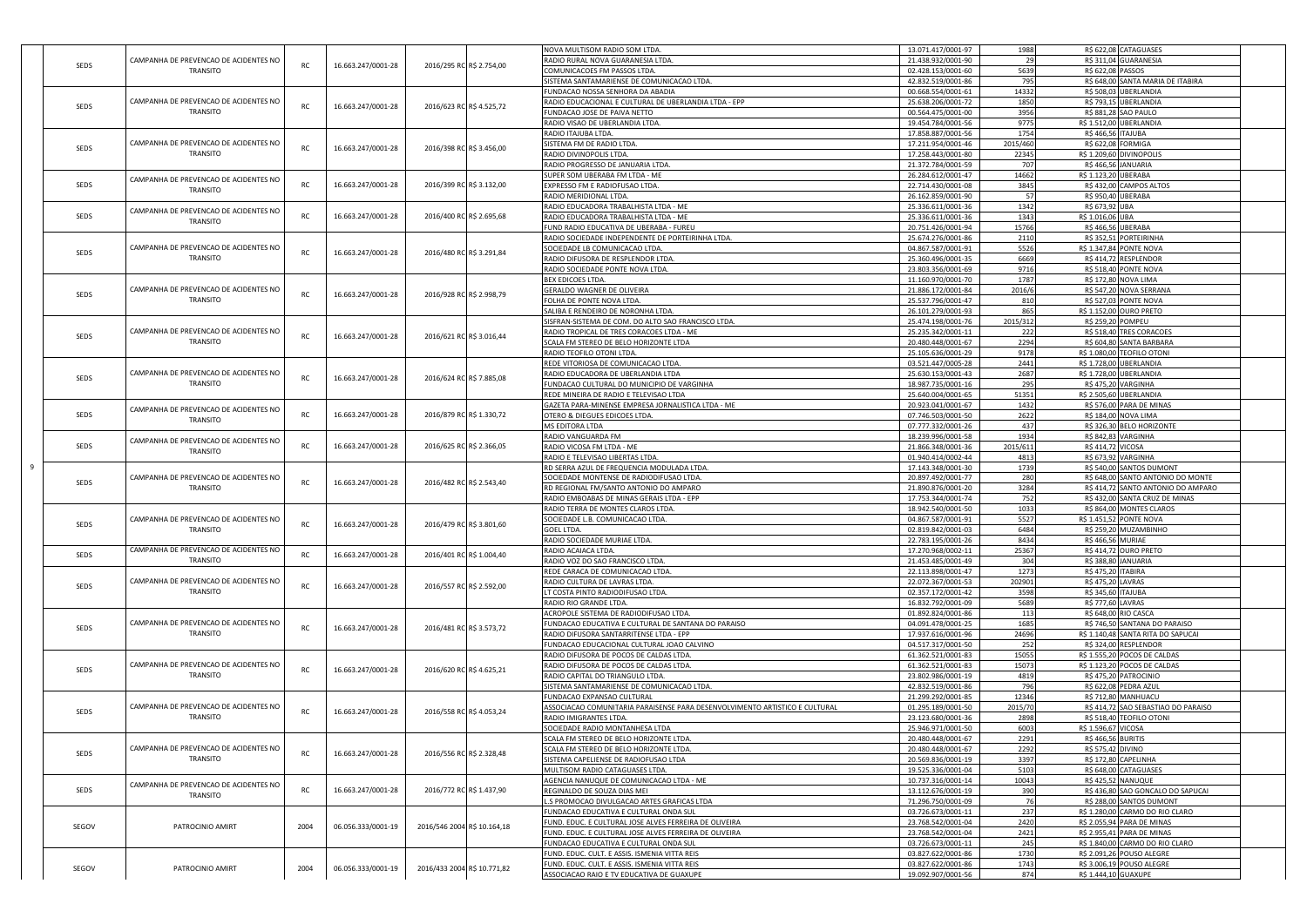|       |                                       |               |                    |                             |                          | <b>NOVA MULTISOM RADIO SOM LTDA</b>                                         | 13.071.417/0001-97 | 1988     |                      | R\$ 622,08 CATAGUASES               |  |
|-------|---------------------------------------|---------------|--------------------|-----------------------------|--------------------------|-----------------------------------------------------------------------------|--------------------|----------|----------------------|-------------------------------------|--|
|       | CAMPANHA DE PREVENCAO DE ACIDENTES NO |               |                    |                             |                          | RADIO RURAL NOVA GUARANESIA LTDA                                            | 21.438.932/0001-90 | 29       |                      | R\$ 311,04 GUARANESIA               |  |
| SEDS  |                                       | RC            | 16.663.247/0001-28 | 2016/295 RC R\$ 2.754,00    |                          |                                                                             |                    |          |                      |                                     |  |
|       | TRANSITO                              |               |                    |                             |                          | COMUNICACOES FM PASSOS LTDA                                                 | 02.428.153/0001-60 | 5639     | R\$ 622,08           | PASSOS                              |  |
|       |                                       |               |                    |                             |                          | SISTEMA SANTAMARIENSE DE COMUNICACAO LTDA.                                  | 42.832.519/0001-86 | 795      |                      | R\$ 648,00 SANTA MARIA DE ITABIRA   |  |
|       |                                       |               |                    |                             |                          | UNDACAO NOSSA SENHORA DA ABADIA                                             | 00.668.554/0001-61 | 14332    |                      | R\$ 508,03 UBERLANDIA               |  |
|       | CAMPANHA DE PREVENCAO DE ACIDENTES NO |               |                    |                             |                          | RADIO EDUCACIONAL E CULTURAL DE UBERLANDIA LTDA - EPP                       | 25.638.206/0001-72 | 1850     |                      | R\$ 793,15 UBERLANDIA               |  |
| SEDS  |                                       | RC            | 16.663.247/0001-28 | 2016/623 RC R\$ 4.525,72    |                          |                                                                             |                    |          |                      |                                     |  |
|       | TRANSITO                              |               |                    |                             |                          | UNDACAO JOSE DE PAIVA NETTO                                                 | 00.564.475/0001-00 | 3956     |                      | R\$ 881,28 SAO PAULO                |  |
|       |                                       |               |                    |                             |                          | RADIO VISAO DE UBERLANDIA LTDA                                              | 19.454.784/0001-56 | 9775     | R\$ 1.512,00         | <b>UBERLANDIA</b>                   |  |
|       |                                       |               |                    |                             |                          | RADIO ITAJUBA LTDA.                                                         | 17.858.887/0001-56 | 1754     | R\$ 466,56 ITAJUBA   |                                     |  |
|       | CAMPANHA DE PREVENCAO DE ACIDENTES NO |               |                    |                             |                          |                                                                             |                    |          |                      |                                     |  |
| SEDS  |                                       | $\mathsf{RC}$ | 16.663.247/0001-28 | 2016/398 RC R\$ 3.456,00    |                          | SISTEMA FM DE RADIO LTDA.                                                   | 17.211.954/0001-46 | 2015/460 |                      | R\$ 622,08 FORMIGA                  |  |
|       | TRANSITO                              |               |                    |                             |                          | RADIO DIVINOPOLIS LTDA                                                      | 17.258.443/0001-80 | 22345    | R\$ 1.209,60         | <b>DIVINOPOLI</b>                   |  |
|       |                                       |               |                    |                             |                          | RADIO PROGRESSO DE JANUARIA LTDA.                                           | 21.372.784/0001-59 | 707      | R\$ 466,5            | <b>JANUARIA</b>                     |  |
|       |                                       |               |                    |                             |                          | SUPER SOM UBERABA FM LTDA - ME                                              | 26.284.612/0001-47 | 14662    | R\$ 1.123,20 UBERABA |                                     |  |
|       | CAMPANHA DE PREVENCAO DE ACIDENTES NO | RC            |                    |                             |                          |                                                                             |                    |          |                      |                                     |  |
| SEDS  | TRANSITO                              |               | 16.663.247/0001-28 | 2016/399 RC R\$ 3.132,00    |                          | EXPRESSO FM E RADIOFUSAO LTDA.                                              | 22.714.430/0001-08 | 3845     |                      | R\$ 432,00 CAMPOS ALTOS             |  |
|       |                                       |               |                    |                             |                          | RADIO MERIDIONAL LTDA                                                       | 26.162.859/0001-90 | 57       |                      | R\$ 950,40 UBERABA                  |  |
|       |                                       |               |                    |                             |                          | RADIO EDUCADORA TRABALHISTA LTDA - ME                                       | 25.336.611/0001-36 | 1342     | R\$ 673,92 UBA       |                                     |  |
| SEDS  | CAMPANHA DE PREVENCAO DE ACIDENTES NO | RC            | 16.663.247/0001-28 | 2016/400 RC R\$ 2.695,68    |                          | RADIO EDUCADORA TRABALHISTA LTDA - ME                                       | 25.336.611/0001-36 | 1343     | R\$ 1.016,06 UBA     |                                     |  |
|       | TRANSITO                              |               |                    |                             |                          |                                                                             |                    |          |                      |                                     |  |
|       |                                       |               |                    |                             |                          | UND RADIO EDUCATIVA DE UBERABA - FUREU                                      | 20.751.426/0001-94 | 15766    |                      | R\$ 466,56 UBERABA                  |  |
|       |                                       |               |                    |                             |                          | RADIO SOCIEDADE INDEPENDENTE DE PORTEIRINHA LTDA.                           | 25.674.276/0001-86 | 2110     |                      | R\$ 352,51 PORTEIRINHA              |  |
|       | CAMPANHA DE PREVENCAO DE ACIDENTES NO |               |                    |                             |                          | SOCIEDADE LB COMUNICACAO LTDA                                               | 04.867.587/0001-91 | 5526     |                      | R\$ 1.347,84 PONTE NOVA             |  |
| SEDS  | TRANSITO                              | RC            | 16.663.247/0001-28 | 2016/480 RC R\$ 3.291,84    |                          | RADIO DIFUSORA DE RESPLENDOR LTDA                                           | 25.360.496/0001-35 | 6669     |                      | R\$ 414,72 RESPLENDOR               |  |
|       |                                       |               |                    |                             |                          |                                                                             |                    |          |                      |                                     |  |
|       |                                       |               |                    |                             |                          | RADIO SOCIEDADE PONTE NOVA LTDA.                                            | 23.803.356/0001-69 | 9716     |                      | R\$ 518,40 PONTE NOVA               |  |
|       |                                       |               |                    |                             |                          | BEX EDICOES LTDA                                                            | 11.160.970/0001-70 | 1787     |                      | R\$ 172,80 NOVA LIMA                |  |
|       | CAMPANHA DE PREVENCAO DE ACIDENTES NO |               |                    |                             |                          | GERALDO WAGNER DE OLIVEIRA                                                  | 21.886.172/0001-84 | 2016/6   |                      | R\$ 547,20 NOVA SERRANA             |  |
| SEDS  | TRANSITO                              | RC            | 16.663.247/0001-28 | 2016/928 RC R\$ 2.998,79    |                          |                                                                             |                    |          |                      |                                     |  |
|       |                                       |               |                    |                             |                          | FOLHA DE PONTE NOVA LTDA                                                    | 25.537.796/0001-47 | 810      |                      | R\$ 527,03 PONTE NOVA               |  |
|       |                                       |               |                    |                             |                          | SALIBA E RENDEIRO DE NORONHA LTDA                                           | 26.101.279/0001-93 | 865      |                      | R\$ 1.152,00 OURO PRETO             |  |
|       |                                       |               |                    |                             |                          | SISFRAN-SISTEMA DE COM. DO ALTO SAO FRANCISCO LTDA.                         | 25.474.198/0001-76 | 2015/312 |                      | R\$ 259,20 POMPEU                   |  |
|       | CAMPANHA DE PREVENCAO DE ACIDENTES NO |               |                    |                             |                          | RADIO TROPICAL DE TRES CORACOES LTDA - ME                                   | 25.235.342/0001-11 | 222      |                      | R\$ 518,40 TRES CORACOES            |  |
| SEDS  |                                       | $\mathsf{RC}$ | 16.663.247/0001-28 | 2016/621 RC R\$ 3.016,44    |                          |                                                                             |                    |          |                      |                                     |  |
|       | TRANSITO                              |               |                    |                             |                          | SCALA FM STEREO DE BELO HORIZONTE LTDA                                      | 20.480.448/0001-67 | 2294     |                      | R\$ 604,80 SANTA BARBARA            |  |
|       |                                       |               |                    |                             |                          | RADIO TEOFILO OTONI LTDA.                                                   | 25.105.636/0001-29 | 9178     |                      | R\$ 1.080,00 TEOFILO OTONI          |  |
|       |                                       |               |                    |                             |                          | REDE VITORIOSA DE COMUNICACAO LTDA.                                         | 03.521.447/0005-28 | 2441     |                      | R\$ 1.728,00 UBERLANDIA             |  |
|       | CAMPANHA DE PREVENCAO DE ACIDENTES NO |               |                    |                             |                          | RADIO EDUCADORA DE UBERLANDIA LTDA                                          | 25.630.153/0001-43 | 2687     |                      | R\$ 1.728,00 UBERLANDIA             |  |
| SEDS  |                                       | $\mathsf{RC}$ | 16.663.247/0001-28 | 2016/624 RC R\$ 7.885,08    |                          |                                                                             |                    |          |                      |                                     |  |
|       | TRANSITO                              |               |                    |                             |                          | FUNDACAO CULTURAL DO MUNICIPIO DE VARGINHA                                  | 18.987.735/0001-16 | 295      |                      | R\$ 475,20 VARGINHA                 |  |
|       |                                       |               |                    |                             |                          | REDE MINEIRA DE RADIO E TELEVISAO LTDA                                      | 25.640.004/0001-65 | 51351    |                      | R\$ 2.505,60 UBERLANDIA             |  |
|       |                                       |               |                    |                             |                          | GAZETA PARA-MINENSE EMPRESA JORNALISTICA LTDA - ME                          | 20.923.041/0001-67 | 1432     |                      | R\$ 576,00 PARA DE MINAS            |  |
| SEDS  | CAMPANHA DE PREVENCAO DE ACIDENTES NO | RC            | 16.663.247/0001-28 |                             |                          |                                                                             |                    |          |                      |                                     |  |
|       | TRANSITO                              |               |                    | 2016/879 RC R\$ 1.330,72    |                          | OTERO & DIEGUES EDICOES LTDA                                                | 07.746.503/0001-50 | 2622     |                      | R\$ 184,00 NOVA LIMA                |  |
|       |                                       |               |                    |                             |                          | MS EDITORA LTDA                                                             | 07.777.332/0001-26 | 437      | R\$ 326,30           | <b>BELO HORIZONTE</b>               |  |
|       |                                       |               |                    |                             |                          | RADIO VANGUARDA FM                                                          | 18.239.996/0001-58 | 1934     | R\$ 842,83           | VARGINHA                            |  |
| SEDS  | CAMPANHA DE PREVENCAO DE ACIDENTES NO | $\mathsf{RC}$ | 16.663.247/0001-28 | 2016/625 RC R\$ 2.366,05    |                          | RADIO VICOSA FM LTDA - ME                                                   | 21.866.348/0001-36 | 2015/611 | R\$ 414,72 VICOSA    |                                     |  |
|       | TRANSITO                              |               |                    |                             |                          |                                                                             |                    |          |                      |                                     |  |
|       |                                       |               |                    |                             |                          | RADIO E TELEVISAO LIBERTAS LTDA                                             | 01.940.414/0002-44 | 4813     | R\$ 673,92           | VARGINHA                            |  |
|       |                                       |               |                    |                             |                          | RD SERRA AZUL DE FREQUENCIA MODULADA LTDA                                   | 17.143.348/0001-30 | 1739     | R\$ 540,00           | <b>SANTOS DUMONT</b>                |  |
|       | CAMPANHA DE PREVENCAO DE ACIDENTES NO |               |                    |                             |                          | SOCIEDADE MONTENSE DE RADIODIFUSAO LTDA.                                    | 20.897.492/0001-77 | 280      |                      | R\$ 648,00 SANTO ANTONIO DO MONTE   |  |
| SEDS  | TRANSITO                              | RC            | 16.663.247/0001-28 | 2016/482 RC R\$ 2.543,40    |                          | RD REGIONAL FM/SANTO ANTONIO DO AMPARO                                      | 21.890.876/0001-20 | 3284     |                      | R\$ 414,72 SANTO ANTONIO DO AMPARO  |  |
|       |                                       |               |                    |                             |                          |                                                                             |                    |          |                      |                                     |  |
|       |                                       |               |                    |                             |                          | RADIO EMBOABAS DE MINAS GERAIS LTDA - EPP                                   | 17.753.344/0001-74 | 752      |                      | R\$ 432,00 SANTA CRUZ DE MINAS      |  |
|       |                                       |               |                    |                             |                          | RADIO TERRA DE MONTES CLAROS LTDA                                           | 18.942.540/0001-50 | 1033     |                      | R\$ 864,00 MONTES CLAROS            |  |
|       | CAMPANHA DE PREVENCAO DE ACIDENTES NO |               |                    |                             |                          | SOCIEDADE L.B. COMUNICACAO LTDA.                                            | 04.867.587/0001-91 | 5527     |                      | R\$ 1.451,52 PONTE NOVA             |  |
| SEDS  | TRANSITO                              | RC            | 16.663.247/0001-28 | 2016/479 RC R\$ 3.801,60    |                          | GOEL LTDA.                                                                  | 02.819.842/0001-03 | 6484     |                      | R\$ 259,20 MUZAMBINHO               |  |
|       |                                       |               |                    |                             |                          |                                                                             |                    |          |                      |                                     |  |
|       |                                       |               |                    |                             |                          | RADIO SOCIEDADE MURIAE LTDA.                                                | 22.783.195/0001-26 | 8434     | R\$ 466,56 MURIAE    |                                     |  |
|       | CAMPANHA DE PREVENCAO DE ACIDENTES NO | $\mathsf{RC}$ |                    |                             |                          | RADIO ACAIACA LTDA                                                          | 17.270.968/0002-11 | 25367    |                      | R\$ 414,72 OURO PRETO               |  |
| SEDS  | TRANSITO                              |               | 16.663.247/0001-28 |                             | 2016/401 RC R\$ 1.004,40 | RADIO VOZ DO SAO FRANCISCO LTDA.                                            | 21.453.485/0001-49 | 304      |                      | R\$ 388,80 JANUARIA                 |  |
|       |                                       |               |                    |                             |                          |                                                                             |                    |          |                      |                                     |  |
|       |                                       |               |                    |                             |                          |                                                                             |                    |          |                      |                                     |  |
|       |                                       |               |                    |                             |                          | REDE CARACA DE COMUNICACAO LTDA.                                            | 22.113.898/0001-47 | 1273     | R\$ 475,20 ITABIRA   |                                     |  |
|       | CAMPANHA DE PREVENCAO DE ACIDENTES NO |               |                    |                             |                          | RADIO CULTURA DE LAVRAS LTDA                                                | 22.072.367/0001-53 | 202901   | R\$ 475,20 LAVRAS    |                                     |  |
| SEDS  | TRANSITO                              | RC            | 16.663.247/0001-28 | 2016/557 RC R\$ 2.592,00    |                          | LT COSTA PINTO RADIODIFUSAO LTDA.                                           | 02.357.172/0001-42 | 3598     | R\$ 345,60 ITAJUBA   |                                     |  |
|       |                                       |               |                    |                             |                          |                                                                             |                    |          |                      |                                     |  |
|       |                                       |               |                    |                             |                          | RADIO RIO GRANDE LTDA                                                       | 16.832.792/0001-09 | 5689     | R\$ 777,60 LAVRAS    |                                     |  |
|       |                                       |               |                    |                             |                          | ACROPOLE SISTEMA DE RADIODIFUSAO LTDA                                       | 01.892.824/0001-86 | 113      |                      | R\$ 648,00 RIO CASCA                |  |
|       | CAMPANHA DE PREVENCAO DE ACIDENTES NO |               |                    |                             |                          | UNDACAO EDUCATIVA E CULTURAL DE SANTANA DO PARAISO                          | 04.091.478/0001-25 | 1685     |                      | R\$ 746,50 SANTANA DO PARAISO       |  |
| SEDS  | TRANSITO                              | RC            | 16.663.247/0001-28 | 2016/481 RC R\$ 3.573,72    |                          | RADIO DIFUSORA SANTARRITENSE LTDA - EPP                                     | 17.937.616/0001-96 | 24696    |                      | R\$ 1.140,48 SANTA RITA DO SAPUCAI  |  |
|       |                                       |               |                    |                             |                          |                                                                             |                    |          |                      |                                     |  |
|       |                                       |               |                    |                             |                          | FUNDACAO EDUCACIONAL CULTURAL JOAO CALVINO                                  | 04.517.317/0001-50 | 252      | R\$ 324,00           | RESPLENDOR                          |  |
|       |                                       |               |                    |                             |                          | RADIO DIFUSORA DE POCOS DE CALDAS LTDA                                      | 61.362.521/0001-83 | 15055    |                      | R\$ 1.555,20 POCOS DE CALDAS        |  |
|       | CAMPANHA DE PREVENCAO DE ACIDENTES NO |               |                    |                             |                          | RADIO DIFUSORA DE POCOS DE CALDAS LTDA                                      | 61.362.521/0001-83 | 15073    |                      | R\$ 1.123,20 POCOS DE CALDAS        |  |
| SEDS  | TRANSITO                              | RC            | 16.663.247/0001-28 | 2016/620 RC R\$ 4.625,21    |                          | RADIO CAPITAL DO TRIANGULO LTDA                                             | 23.802.986/0001-19 | 4819     | R\$ 475,20           | PATROCINIO                          |  |
|       |                                       |               |                    |                             |                          |                                                                             |                    |          |                      |                                     |  |
|       |                                       |               |                    |                             |                          | SISTEMA SANTAMARIENSE DE COMUNICACAO LTDA.                                  | 42.832.519/0001-86 | 796      | R\$ 622,08           | PEDRA AZUL                          |  |
|       |                                       |               |                    |                             |                          | UNDACAO EXPANSAO CULTURAL                                                   | 21.299.292/0001-85 | 12346    |                      | R\$ 712,80 MANHUACU                 |  |
|       | CAMPANHA DE PREVENCAO DE ACIDENTES NO |               |                    |                             |                          | ASSOCIACAO COMUNITARIA PARAISENSE PARA DESENVOLVIMENTO ARTISTICO E CULTURAL | 01.295.189/0001-50 | 2015/70  |                      | R\$ 414,72 SAO SEBASTIAO DO PARAISO |  |
| SEDS  | TRANSITO                              | RC            | 16.663.247/0001-28 | 2016/558 RC R\$ 4.053,24    |                          | RADIO IMIGRANTES LTDA                                                       | 23.123.680/0001-36 | 2898     |                      | R\$ 518,40 TEOFILO OTONI            |  |
|       |                                       |               |                    |                             |                          |                                                                             |                    |          |                      |                                     |  |
|       |                                       |               |                    |                             |                          | <b>SOCIEDADE RADIO MONTANHESA LTDA</b>                                      | 25.946.971/0001-50 | 6003     | R\$ 1.596,67 VICOSA  |                                     |  |
|       |                                       |               |                    |                             |                          | SCALA FM STEREO DE BELO HORIZONTE LTDA.                                     | 20.480.448/0001-67 | 2291     | R\$ 466,56 BURITIS   |                                     |  |
|       | CAMPANHA DE PREVENCAO DE ACIDENTES NO |               |                    |                             |                          | <b>SCALA FM STEREO DE BELO HORIZONTE LTDA</b>                               | 20.480.448/0001-67 | 2292     | R\$ 575,42 DIVINO    |                                     |  |
| SEDS  | TRANSITO                              | RC            | 16.663.247/0001-28 | 2016/556 RC R\$ 2.328,48    |                          |                                                                             |                    |          |                      |                                     |  |
|       |                                       |               |                    |                             |                          | SISTEMA CAPELIENSE DE RADIOFUSAO LTDA                                       | 20.569.836/0001-19 | 3397     |                      | R\$ 172,80 CAPELINHA                |  |
|       |                                       |               |                    |                             |                          | MULTISOM RADIO CATAGUASES LTDA.                                             | 19.525.336/0001-04 | 5103     |                      | R\$ 648,00 CATAGUASES               |  |
|       |                                       |               |                    |                             |                          | AGENCIA NANUQUE DE COMUNICACAO LTDA - ME                                    | 10.737.316/0001-14 | 10043    |                      | R\$ 425,52 NANUQUE                  |  |
| SEDS  | CAMPANHA DE PREVENCAO DE ACIDENTES NO | RC            | 16.663.247/0001-28 | 2016/772 RC R\$ 1.437,90    |                          | REGINALDO DE SOUZA DIAS MEI                                                 | 13.112.676/0001-19 | 390      |                      | R\$ 436,80 SAO GONCALO DO SAPUCAI   |  |
|       | TRANSITO                              |               |                    |                             |                          |                                                                             |                    |          |                      |                                     |  |
|       |                                       |               |                    |                             |                          | S PROMOCAO DIVULGACAO ARTES GRAFICAS LTDA                                   | 71.296.750/0001-09 | 76       |                      | R\$ 288,00 SANTOS DUMONT            |  |
|       |                                       |               |                    |                             |                          | FUNDACAO EDUCATIVA E CULTURAL ONDA SUL                                      | 03.726.673/0001-11 | 237      |                      | R\$ 1.280,00 CARMO DO RIO CLARO     |  |
|       |                                       |               |                    |                             |                          | FUND. EDUC. E CULTURAL JOSE ALVES FERREIRA DE OLIVEIRA                      | 23.768.542/0001-04 | 2420     |                      | R\$ 2.055,94 PARA DE MINAS          |  |
| SEGOV | PATROCINIO AMIRT                      | 2004          | 06.056.333/0001-19 | 2016/546 2004 R\$ 10.164,18 |                          |                                                                             |                    |          |                      |                                     |  |
|       |                                       |               |                    |                             |                          | FUND. EDUC. E CULTURAL JOSE ALVES FERREIRA DE OLIVEIRA                      | 23.768.542/0001-04 | 2421     |                      | R\$ 2.955,41 PARA DE MINAS          |  |
|       |                                       |               |                    |                             |                          | UNDACAO EDUCATIVA E CULTURAL ONDA SUL                                       | 03.726.673/0001-11 | 245      |                      | R\$ 1.840,00 CARMO DO RIO CLARO     |  |
|       |                                       |               |                    |                             |                          | FUND. EDUC. CULT. E ASSIS. ISMENIA VITTA REIS                               | 03.827.622/0001-86 | 1730     |                      | R\$ 2.091,26 POUSO ALEGRE           |  |
|       |                                       |               |                    |                             |                          | FUND. EDUC. CULT. E ASSIS. ISMENIA VITTA REIS                               | 03.827.622/0001-86 | 1743     |                      | R\$ 3.006,19 POUSO ALEGRE           |  |
| SEGOV | PATROCINIO AMIRT                      | 2004          | 06.056.333/0001-19 | 2016/433 2004 R\$ 10.771,82 |                          | ASSOCIACAO RAIO E TV EDUCATIVA DE GUAXUPE                                   | 19.092.907/0001-56 | 874      |                      | R\$ 1.444,10 GUAXUPE                |  |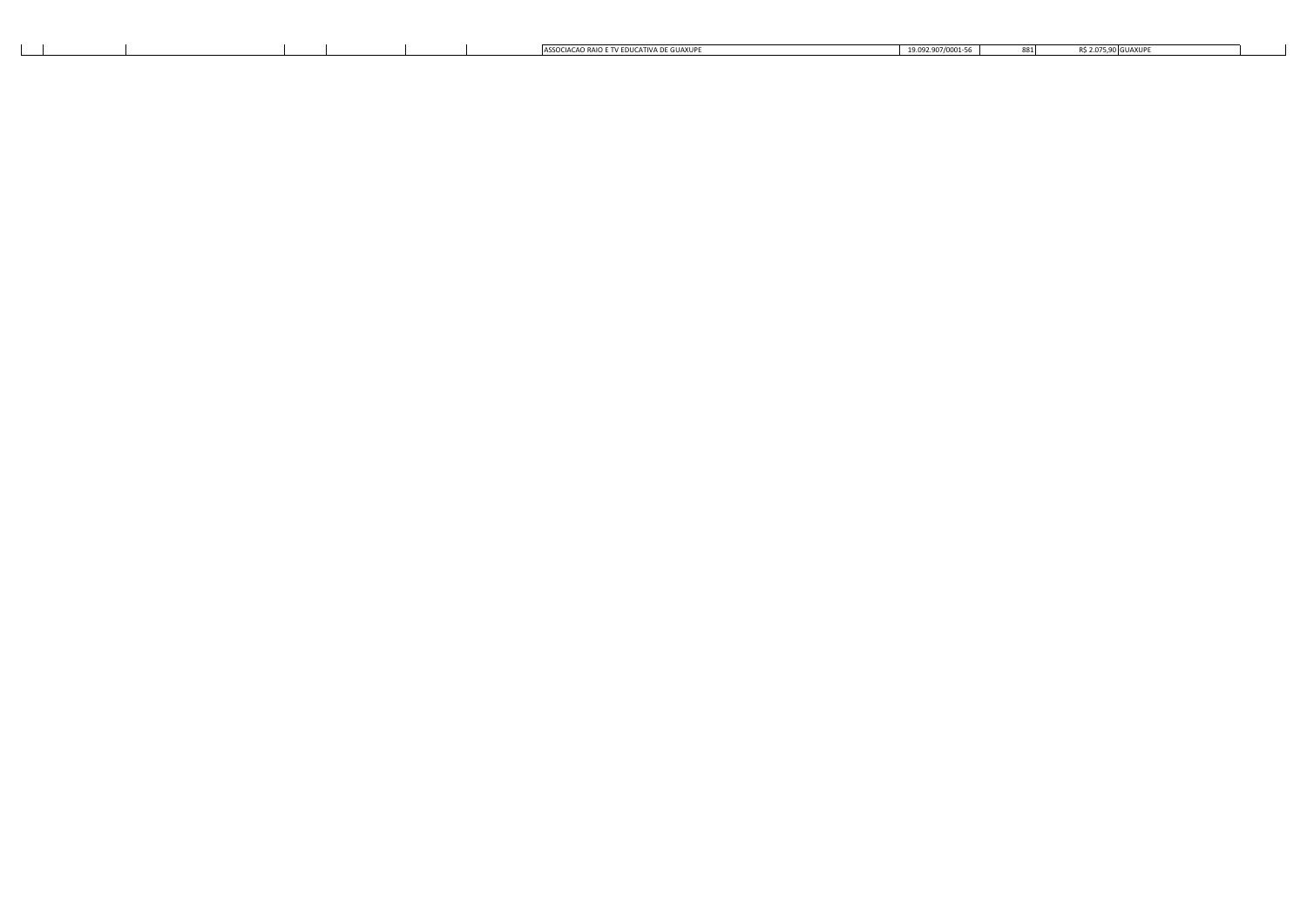|  |  |  | CIACAO RAIO E TV EDI<br>$15.011A$ VIII<br>TATIVA<br>∴^CC∩∩ | 0.0000000000000<br>az anz <i>ı</i> nnni.<br>,,,,,,,,,,,,,,, | ×х | $000$ CHAVEL |
|--|--|--|------------------------------------------------------------|-------------------------------------------------------------|----|--------------|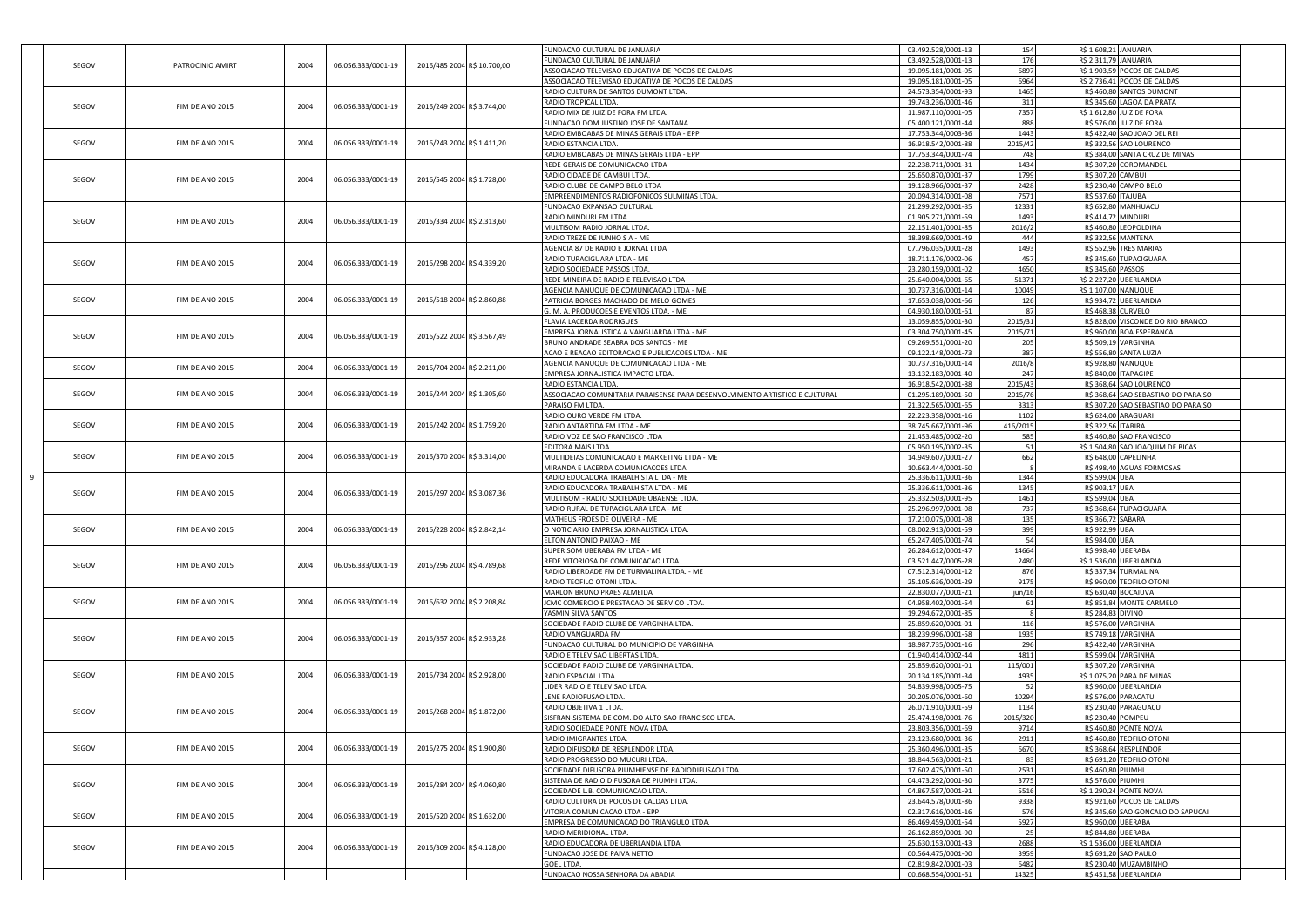|       |                  |      |                    |                             | FUNDACAO CULTURAL DE JANUARIA                                                             | 03.492.528/0001-13                       | 154           | R\$ 1.608,21 JANUARIA                                                      |
|-------|------------------|------|--------------------|-----------------------------|-------------------------------------------------------------------------------------------|------------------------------------------|---------------|----------------------------------------------------------------------------|
| SEGOV | PATROCINIO AMIRT | 2004 | 06.056.333/0001-19 | 2016/485 2004 R\$ 10.700,00 | FUNDACAO CULTURAL DE JANUARIA                                                             | 03.492.528/0001-13                       | 176           | R\$ 2.311,79 JANUARIA                                                      |
|       |                  |      |                    |                             | ASSOCIACAO TELEVISAO EDUCATIVA DE POCOS DE CALDAS                                         | 19.095.181/0001-05                       | 6897          | R\$ 1.903,5<br><b>POCOS DE CALDAS</b>                                      |
|       |                  |      |                    |                             | ASSOCIACAO TELEVISAO EDUCATIVA DE POCOS DE CALDAS<br>RADIO CULTURA DE SANTOS DUMONT LTDA. | 19.095.181/0001-05<br>24.573.354/0001-93 | 6964<br>1465  | R\$ 2.736,41 POCOS DE CALDAS<br>R\$ 460,80 SANTOS DUMONT                   |
|       |                  |      |                    |                             | RADIO TROPICAL LTDA                                                                       | 19.743.236/0001-46                       | 311           | R\$ 345,60 LAGOA DA PRATA                                                  |
| SEGOV | FIM DE ANO 2015  | 2004 | 06.056.333/0001-19 | 2016/249 2004 R\$ 3.744,00  | RADIO MIX DE JUIZ DE FORA FM LTDA.                                                        | 11.987.110/0001-05                       | 7357          | R\$ 1.612,80<br><b>JUIZ DE FORA</b>                                        |
|       |                  |      |                    |                             | FUNDACAO DOM JUSTINO JOSE DE SANTANA                                                      | 05.400.121/0001-44                       | 888           | R\$ 576,00 JUIZ DE FORA                                                    |
|       |                  |      |                    |                             | RADIO EMBOABAS DE MINAS GERAIS LTDA - EPP                                                 | 17.753.344/0003-36                       | 1443          | R\$ 422,40 SAO JOAO DEL REI                                                |
| SEGOV | FIM DE ANO 2015  | 2004 | 06.056.333/0001-19 | 2016/243 2004 R\$ 1.411,20  | RADIO ESTANCIA LTDA                                                                       | 16.918.542/0001-88                       | 2015/42       | R\$ 322,56 SAO LOURENCO                                                    |
|       |                  |      |                    |                             | RADIO EMBOABAS DE MINAS GERAIS LTDA - EPP                                                 | 17.753.344/0001-74                       | 748           | R\$ 384,00 SANTA CRUZ DE MINAS                                             |
|       |                  |      |                    |                             | REDE GERAIS DE COMUNICACAO LTDA                                                           | 22.238.711/0001-31                       | 1434          | R\$ 307,20 COROMANDEL                                                      |
|       |                  |      |                    |                             | RADIO CIDADE DE CAMBUI LTDA.                                                              | 25.650.870/0001-37                       | 1799          | R\$ 307,20 CAMBUI                                                          |
| SEGOV | FIM DE ANO 2015  | 2004 | 06.056.333/0001-19 | 2016/545 2004 R\$ 1.728,00  | RADIO CLUBE DE CAMPO BELO LTDA                                                            | 19.128.966/0001-37                       | 2428          | R\$ 230,40 CAMPO BELO                                                      |
|       |                  |      |                    |                             | EMPREENDIMENTOS RADIOFONICOS SULMINAS LTDA.                                               | 20.094.314/0001-08                       | 7571          | R\$ 537,60<br>TAJUBA                                                       |
|       |                  |      |                    |                             | FUNDACAO EXPANSAO CULTURAL                                                                | 21.299.292/0001-85                       | 12331         | R\$ 652,80<br>MANHUACU                                                     |
|       |                  |      |                    |                             | RADIO MINDURI FM LTDA.                                                                    | 01.905.271/0001-59                       | 1493          | R\$ 414,72 MINDURI                                                         |
| SEGOV | FIM DE ANO 2015  | 2004 | 06.056.333/0001-19 | 2016/334 2004 R\$ 2.313,60  | MULTISOM RADIO JORNAL LTDA.                                                               | 22.151.401/0001-85                       | 2016/2        | R\$ 460,80<br><b>LEOPOLDINA</b>                                            |
|       |                  |      |                    |                             | RADIO TREZE DE JUNHO S A - ME                                                             | 18.398.669/0001-49                       | 444           | R\$ 322,5<br>MANTENA                                                       |
|       |                  |      |                    |                             | AGENCIA 87 DE RADIO E JORNAL LTDA                                                         | 07.796.035/0001-28                       | 1493          | R\$ 552,96<br><b>TRES MARIAS</b>                                           |
|       |                  |      |                    |                             | RADIO TUPACIGUARA LTDA - ME                                                               | 18.711.176/0002-06                       | 457           | R\$ 345,60<br>TUPACIGUARA                                                  |
| SEGOV | FIM DE ANO 2015  | 2004 | 06.056.333/0001-19 | 2016/298 2004 R\$ 4.339,20  | RADIO SOCIEDADE PASSOS LTDA.                                                              | 23.280.159/0001-02                       | 4650          | R\$ 345,60 PASSOS                                                          |
|       |                  |      |                    |                             | REDE MINEIRA DE RADIO E TELEVISAO LTDA                                                    | 25.640.004/0001-65                       | 51371         | R\$ 2.227,20<br><b>UBERLANDIA</b>                                          |
|       |                  |      |                    |                             | AGENCIA NANUQUE DE COMUNICACAO LTDA - ME                                                  | 10.737.316/0001-14                       | 10049         | R\$ 1.107,00<br>NANUQUE                                                    |
| SEGOV | FIM DE ANO 2015  | 2004 | 06.056.333/0001-19 | 2016/518 2004 R\$ 2.860,88  | PATRICIA BORGES MACHADO DE MELO GOMES                                                     | 17.653.038/0001-66                       | 126           | R\$ 934,72 UBERLANDIA                                                      |
|       |                  |      |                    |                             | G. M. A. PRODUCOES E EVENTOS LTDA. - ME                                                   | 04.930.180/0001-61                       | 87            | R\$ 468,38 CURVELO                                                         |
|       |                  |      |                    |                             | <b>FLAVIA LACERDA RODRIGUES</b>                                                           | 13.059.855/0001-30                       | 2015/31       | R\$ 828,00 VISCONDE DO RIO BRANCO                                          |
|       |                  |      |                    |                             | EMPRESA JORNALISTICA A VANGUARDA LTDA - ME                                                | 03.304.750/0001-45                       | 2015/71       | R\$ 960,00 BOA ESPERANCA                                                   |
| SEGOV | FIM DE ANO 2015  | 2004 | 06.056.333/0001-19 | 2016/522 2004 R\$ 3.567,49  | BRUNO ANDRADE SEABRA DOS SANTOS - ME                                                      | 09.269.551/0001-20                       | 205           | R\$ 509,19 VARGINHA                                                        |
|       |                  |      |                    |                             | ACAO E REACAO EDITORACAO E PUBLICACOES LTDA - ME                                          | 09.122.148/0001-73                       | 387           | R\$ 556,80 SANTA LUZIA                                                     |
|       |                  |      |                    |                             | AGENCIA NANUQUE DE COMUNICACAO LTDA - ME                                                  | 10.737.316/0001-14                       | 2016/8        | R\$ 928,80 NANUQUE                                                         |
| SEGOV | FIM DE ANO 2015  | 2004 | 06.056.333/0001-19 | 2016/704 2004 R\$ 2.211,00  | EMPRESA JORNALISTICA IMPACTO LTDA                                                         | 13.132.183/0001-40                       | 247           | R\$ 840,00<br>TAPAGIPE                                                     |
|       |                  |      |                    |                             | RADIO ESTANCIA LTDA                                                                       | 16.918.542/0001-88                       | 2015/43       | R\$ 368,64 SAO LOURENCO                                                    |
| SEGOV | FIM DE ANO 2015  | 2004 | 06.056.333/0001-19 | 2016/244 2004 R\$ 1.305,60  | ASSOCIACAO COMUNITARIA PARAISENSE PARA DESENVOLVIMENTO ARTISTICO E CULTURAL               |                                          | 2015/76       |                                                                            |
|       |                  |      |                    |                             | PARAISO FM LTDA                                                                           | 01.295.189/0001-50<br>21.322.565/0001-65 |               | R\$ 368,64 SAO SEBASTIAO DO PARAISO<br>R\$ 307,20 SAO SEBASTIAO DO PARAISO |
|       |                  |      |                    |                             | RADIO OURO VERDE FM LTDA.                                                                 |                                          | 3313          | R\$ 624,00<br>ARAGUARI                                                     |
|       |                  |      |                    | 2016/242 2004 R\$ 1.759,20  |                                                                                           | 22.223.358/0001-16                       | 1102          |                                                                            |
| SEGOV | FIM DE ANO 2015  | 2004 | 06.056.333/0001-19 |                             | RADIO ANTARTIDA FM LTDA - ME                                                              | 38.745.667/0001-96                       | 416/2015      | R\$ 322,56<br><b>TABIRA</b>                                                |
|       |                  |      |                    |                             | RADIO VOZ DE SAO FRANCISCO LTDA<br><b>EDITORA MAIS LTDA</b>                               | 21.453.485/0002-20                       | 585           | R\$ 460,80 SAO FRANCISCO                                                   |
| SEGOV | FIM DE ANO 2015  | 2004 | 06.056.333/0001-19 | 2016/370 2004 R\$ 3.314,00  |                                                                                           | 05.950.195/0002-35<br>14.949.607/0001-27 | 51            | R\$ 1.504,80 SAO JOAQUIM DE BICAS                                          |
|       |                  |      |                    |                             | MULTIDEIAS COMUNICACAO E MARKETING LTDA - ME                                              |                                          | 662           | R\$ 648,00 CAPELINHA                                                       |
|       |                  |      |                    |                             |                                                                                           |                                          |               |                                                                            |
|       |                  |      |                    |                             | MIRANDA E LACERDA COMUNICACOES LTDA                                                       | 10.663.444/0001-60                       |               | R\$ 498,40 AGUAS FORMOSAS                                                  |
|       |                  |      |                    |                             | RADIO EDUCADORA TRABALHISTA LTDA - ME                                                     | 25.336.611/0001-36                       | 1344          | R\$ 599,04 UBA                                                             |
| SEGOV | FIM DE ANO 2015  | 2004 | 06.056.333/0001-19 | 2016/297 2004 R\$ 3.087,36  | RADIO EDUCADORA TRABALHISTA LTDA - ME                                                     | 25.336.611/0001-36                       | 1345          | R\$ 903,1<br><b>UBA</b>                                                    |
|       |                  |      |                    |                             | MULTISOM - RADIO SOCIEDADE UBAENSE LTDA                                                   | 25.332.503/0001-95                       | 1461          | R\$ 599,04<br><b>JRA</b>                                                   |
|       |                  |      |                    |                             | RADIO RURAL DE TUPACIGUARA LTDA - ME                                                      | 25.296.997/0001-08                       | 737           | R\$ 368,64<br><b>TUPACIGUARA</b>                                           |
|       |                  |      |                    |                             | MATHEUS FROES DE OLIVEIRA - ME                                                            | 17.210.075/0001-08                       | 135           | R\$ 366,72 SABARA                                                          |
| SEGOV | FIM DE ANO 2015  | 2004 | 06.056.333/0001-19 | 2016/228 2004 R\$ 2.842,14  | O NOTICIARIO EMPRESA JORNALISTICA LTDA.                                                   | 08.002.913/0001-59                       | 399           | R\$ 922,9<br>UBA                                                           |
|       |                  |      |                    |                             | ELTON ANTONIO PAIXAO - ME                                                                 | 65.247.405/0001-74                       | 54            | R\$ 984,0<br><b>JRA</b>                                                    |
|       |                  |      |                    |                             | SUPER SOM UBERABA FM LTDA - ME                                                            | 26.284.612/0001-47                       | 14664         | R\$ 998,40<br>JBERABA                                                      |
| SEGOV | FIM DE ANO 2015  | 2004 | 06.056.333/0001-19 | 2016/296 2004 R\$ 4.789,68  | REDE VITORIOSA DE COMUNICACAO LTDA.                                                       | 03.521.447/0005-28                       | 2480          | R\$ 1.536,00<br>JBERLANDIA                                                 |
|       |                  |      |                    |                             | RADIO LIBERDADE FM DE TURMALINA LTDA. - ME                                                | 07.512.314/0001-12                       | 876           | R\$ 337,34 TURMALINA                                                       |
|       |                  |      |                    |                             | RADIO TEOFILO OTONI LTDA                                                                  | 25.105.636/0001-29                       | 9175          | R\$ 960,00<br><b>TEOFILO OTONI</b>                                         |
|       |                  |      |                    |                             | MARLON BRUNO PRAES ALMEIDA                                                                | 22.830.077/0001-21                       | jun/16        | R\$ 630,40<br><b>BOCAIUVA</b>                                              |
| SEGOV | FIM DE ANO 2015  | 2004 | 06.056.333/0001-19 | 2016/632 2004 R\$ 2.208,84  | JCMC COMERCIO E PRESTACAO DE SERVICO LTDA.                                                | 04.958.402/0001-54                       | 61            | R\$ 851,84 MONTE CARMELO                                                   |
|       |                  |      |                    |                             | YASMIN SILVA SANTOS                                                                       | 19.294.672/0001-85                       |               | R\$ 284,83 DIVINO                                                          |
|       |                  |      |                    |                             | SOCIEDADE RADIO CLUBE DE VARGINHA LTDA                                                    | 25.859.620/0001-01                       | 116           | R\$ 576,00<br>VARGINHA                                                     |
| SEGOV | FIM DE ANO 2015  | 2004 | 06.056.333/0001-19 | 2016/357 2004 R\$ 2.933,28  | RADIO VANGUARDA FM                                                                        | 18.239.996/0001-58                       | 1935          | R\$ 749,18<br><b>/ARGINHA</b>                                              |
|       |                  |      |                    |                             | FUNDACAO CULTURAL DO MUNICIPIO DE VARGINHA                                                | 18.987.735/0001-16                       | 296           | R\$ 422,40 VARGINHA                                                        |
|       |                  |      |                    |                             | RADIO E TELEVISAO LIBERTAS LTDA.                                                          | 01.940.414/0002-44                       | 4811          | R\$ 599,04 VARGINHA                                                        |
|       |                  |      |                    |                             | SOCIEDADE RADIO CLUBE DE VARGINHA LTDA                                                    | 25.859.620/0001-01                       | 115/001       | R\$ 307.20 VARGINHA                                                        |
| SEGOV | FIM DE ANO 2015  | 2004 | 06.056.333/0001-19 | 2016/734 2004 R\$ 2.928,00  | RADIO ESPACIAL LTDA.                                                                      | 20.134.185/0001-34                       | 4935          | R\$ 1.075,20 PARA DE MINAS                                                 |
|       |                  |      |                    |                             | LIDER RADIO E TELEVISAO LTDA.                                                             | 54.839.998/0005-75                       | 52            | R\$ 960,00 UBERLANDIA                                                      |
|       |                  |      |                    |                             | LENE RADIOFUSAO LTDA.                                                                     | 20.205.076/0001-60                       | 10294         | R\$ 576,00 PARACATU                                                        |
| SEGOV | FIM DE ANO 2015  | 2004 | 06.056.333/0001-19 | 2016/268 2004 R\$ 1.872,00  | RADIO OBJETIVA 1 LTDA                                                                     | 26.071.910/0001-59                       | 1134          | R\$ 230,40 PARAGUACU                                                       |
|       |                  |      |                    |                             | SISFRAN-SISTEMA DE COM. DO ALTO SAO FRANCISCO LTDA.                                       | 25.474.198/0001-76                       | 2015/320      | R\$ 230,40<br>OMPEU                                                        |
|       |                  |      |                    |                             | RADIO SOCIEDADE PONTE NOVA LTDA.                                                          | 23.803.356/0001-69                       | 9714          | R\$ 460,80 PONTE NOVA                                                      |
|       |                  |      |                    |                             | RADIO IMIGRANTES LTDA.                                                                    | 23.123.680/0001-36                       | 2911          | R\$ 460,80 TEOFILO OTONI                                                   |
| SEGOV | FIM DE ANO 2015  | 2004 | 06.056.333/0001-19 | 2016/275 2004 R\$ 1.900,80  | RADIO DIFUSORA DE RESPLENDOR LTDA.                                                        | 25.360.496/0001-35                       | 6670          | R\$ 368,64 RESPLENDOR                                                      |
|       |                  |      |                    |                             | RADIO PROGRESSO DO MUCURI LTDA.                                                           | 18.844.563/0001-21                       | 83            | R\$ 691,20 TEOFILO OTONI                                                   |
|       |                  |      |                    |                             | SOCIEDADE DIFUSORA PIUMHIENSE DE RADIODIFUSAO LTDA.                                       | 17.602.475/0001-50                       | 2531          | R\$ 460,80 PIUMHI                                                          |
| SEGOV | FIM DE ANO 2015  | 2004 | 06.056.333/0001-19 |                             | SISTEMA DE RADIO DIFUSORA DE PIUMHI LTDA.                                                 | 04.473.292/0001-30                       | 3775          | R\$ 576,00 PIUMHI                                                          |
|       |                  |      |                    | 2016/284 2004 R\$ 4.060,80  | SOCIEDADE L.B. COMUNICACAO LTDA.                                                          | 04.867.587/0001-91                       | 5516          | R\$ 1.290,24 PONTE NOVA                                                    |
|       |                  |      |                    |                             | RADIO CULTURA DE POCOS DE CALDAS LTDA.                                                    | 23.644.578/0001-86                       | 9338          | R\$ 921.60 POCOS DE CALDAS                                                 |
|       |                  |      |                    |                             | VITORIA COMUNICACAO LTDA - EPP                                                            | 02.317.616/0001-16                       | 576           | R\$ 345,60 SAO GONCALO DO SAPUCAI                                          |
| SEGOV | FIM DE ANO 2015  | 2004 | 06.056.333/0001-19 | 2016/520 2004 R\$ 1.632,00  | EMPRESA DE COMUNICACAO DO TRIANGULO LTDA.                                                 | 86.469.459/0001-54                       | 5927          | R\$ 960,00 UBERABA                                                         |
|       |                  |      |                    |                             | RADIO MERIDIONAL LTDA.                                                                    | 26.162.859/0001-90                       | 25            | R\$ 844.80 UBERABA                                                         |
|       |                  |      |                    |                             | RADIO EDUCADORA DE UBERLANDIA LTDA                                                        | 25.630.153/0001-43                       | 2688          | R\$ 1.536,00<br>JBERLANDIA                                                 |
| SEGOV | FIM DE ANO 2015  | 2004 | 06.056.333/0001-19 | 2016/309 2004 R\$ 4.128,00  | FUNDACAO JOSE DE PAIVA NETTO                                                              | 00.564.475/0001-00                       | 3959          | R\$ 691,20<br>SAO PAULO                                                    |
|       |                  |      |                    |                             | <b>GOEL LTDA.</b><br>FUNDACAO NOSSA SENHORA DA ABADIA                                     | 02.819.842/0001-03<br>00.668.554/0001-61 | 6482<br>14325 | R\$ 230,40 MUZAMBINHO<br>R\$ 451,58 UBERLANDIA                             |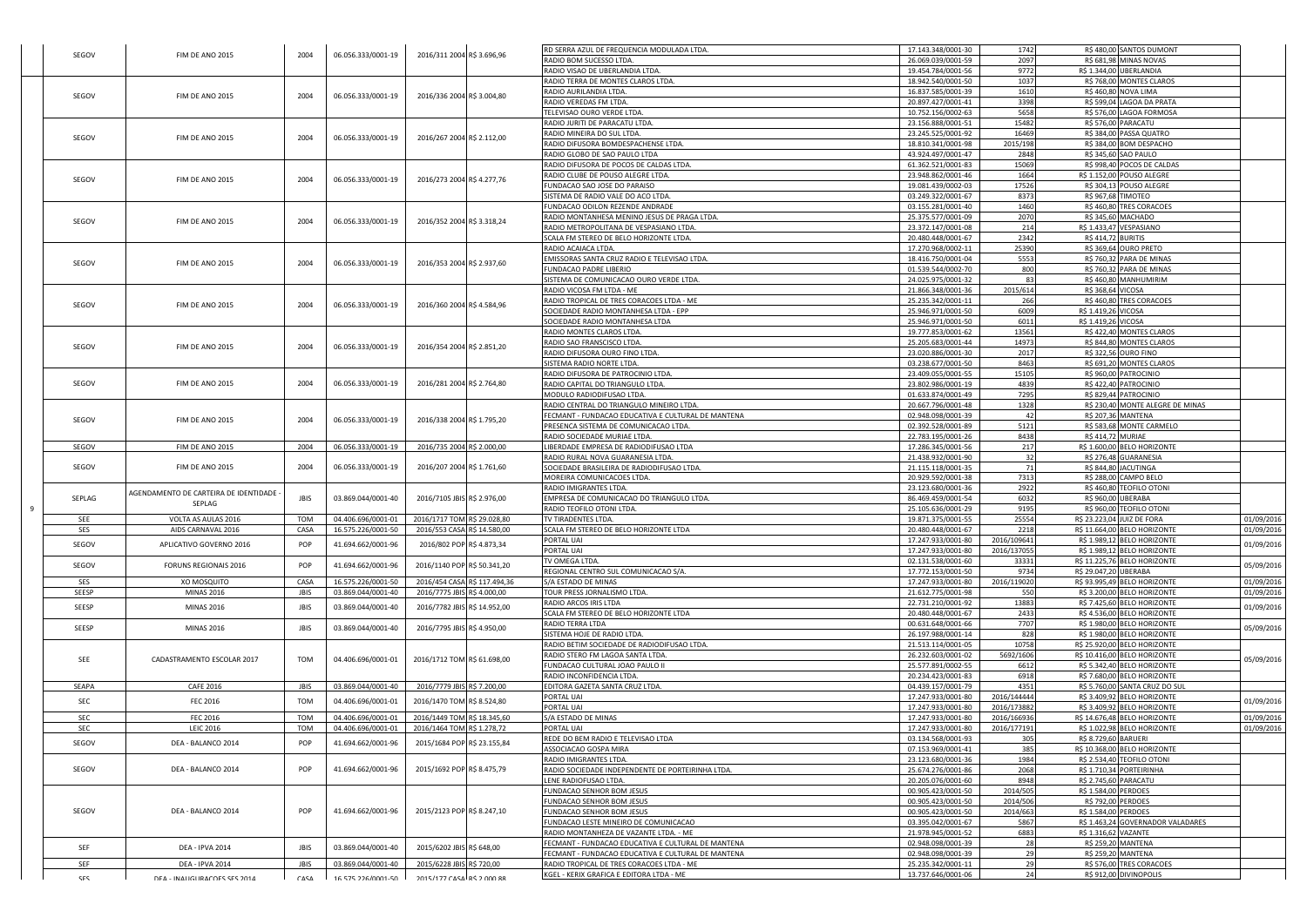| SEGOV               | FIM DE ANO 2015                                 | 2004                | 06.056.333/0001-19                       | 2016/311 2004 R\$ 3.696,96                                  | RD SERRA AZUL DE FREQUENCIA MODULADA LTDA.<br>RADIO BOM SUCESSO LTDA.                                                                                 | 17.143.348/0001-30<br>26.069.039/0001-59                       | 1742<br>2097                       | R\$ 480,00 SANTOS DUMONT<br>R\$ 681,98 MINAS NOVAS                                           |                          |
|---------------------|-------------------------------------------------|---------------------|------------------------------------------|-------------------------------------------------------------|-------------------------------------------------------------------------------------------------------------------------------------------------------|----------------------------------------------------------------|------------------------------------|----------------------------------------------------------------------------------------------|--------------------------|
|                     |                                                 |                     |                                          |                                                             | RADIO VISAO DE UBERLANDIA LTDA<br>RADIO TERRA DE MONTES CLAROS LTDA.                                                                                  | 19.454.784/0001-56<br>18.942.540/0001-50                       | 9772<br>1037                       | R\$ 1.344,00 UBERLANDIA<br>R\$ 768,00 MONTES CLAROS                                          |                          |
| SEGOV               | FIM DE ANO 2015                                 | 2004                | 06.056.333/0001-19                       | 2016/336 2004 R\$ 3.004,80                                  | RADIO AURILANDIA LTDA.<br>RADIO VEREDAS FM LTDA.                                                                                                      | 16.837.585/0001-39<br>20.897.427/0001-41                       | 1610<br>3398                       | R\$ 460,80 NOVA LIMA<br>R\$ 599,04 LAGOA DA PRATA                                            |                          |
|                     |                                                 |                     |                                          |                                                             | TELEVISAO OURO VERDE LTDA.<br>RADIO JURITI DE PARACATU LTDA.                                                                                          | 10.752.156/0002-63<br>23.156.888/0001-51                       | 5658<br>15482                      | R\$ 576,00 LAGOA FORMOSA<br>R\$ 576,00 PARACATU                                              |                          |
| SEGOV               | FIM DE ANO 2015                                 | 2004                | 06.056.333/0001-19                       | 2016/267 2004 R\$ 2.112,00                                  | RADIO MINEIRA DO SUL LTDA.<br>RADIO DIFUSORA BOMDESPACHENSE LTDA.                                                                                     | 23.245.525/0001-92<br>18.810.341/0001-98                       | 16469<br>2015/198                  | R\$ 384,00 PASSA QUATRO<br>R\$ 384,00 BOM DESPACHO                                           |                          |
|                     |                                                 |                     |                                          |                                                             | RADIO GLOBO DE SAO PAULO LTDA<br>RADIO DIFUSORA DE POCOS DE CALDAS LTDA.                                                                              | 43.924.497/0001-47<br>61.362.521/0001-83                       | 2848<br>15069                      | R\$ 345,60 SAO PAULO<br>R\$ 998,40 POCOS DE CALDAS                                           |                          |
| SEGOV               | FIM DE ANO 2015                                 | 2004                | 06.056.333/0001-19                       | 2016/273 2004 R\$ 4.277,76                                  | RADIO CLUBE DE POUSO ALEGRE LTDA.<br>FUNDACAO SAO JOSE DO PARAISO                                                                                     | 23.948.862/0001-46<br>19.081.439/0002-03                       | 1664<br>17526                      | R\$ 1.152,00 POUSO ALEGRE<br>R\$ 304,13 POUSO ALEGRE                                         |                          |
|                     |                                                 |                     |                                          |                                                             | SISTEMA DE RADIO VALE DO ACO LTDA.<br>FUNDACAO ODILON REZENDE ANDRADE                                                                                 | 03.249.322/0001-67<br>03.155.281/0001-40                       | 8373<br>1460                       | R\$ 967,68 TIMOTEO<br>R\$ 460,80 TRES CORACOES                                               |                          |
| SEGOV               | FIM DE ANO 2015                                 | 2004                | 06.056.333/0001-19                       | 2016/352 2004 R\$ 3.318,24                                  | RADIO MONTANHESA MENINO JESUS DE PRAGA LTDA.<br>RADIO METROPOLITANA DE VESPASIANO LTDA.<br>SCALA FM STEREO DE BELO HORIZONTE LTDA.                    | 25.375.577/0001-09<br>23.372.147/0001-08<br>20.480.448/0001-67 | 2070<br>214<br>2342                | R\$ 345,60 MACHADO<br>R\$ 1.433,47 VESPASIANO<br>R\$ 414,72 BURITIS                          |                          |
|                     |                                                 |                     |                                          |                                                             | RADIO ACAIACA LTDA.<br>EMISSORAS SANTA CRUZ RADIO E TELEVISAO LTDA.                                                                                   | 17.270.968/0002-11<br>18.416.750/0001-04                       | 25390<br>5553                      | R\$ 369.64 OURO PRETO<br>R\$ 760,32 PARA DE MINAS                                            |                          |
| SEGOV               | FIM DE ANO 2015                                 | 2004                | 06.056.333/0001-19                       | 2016/353 2004 R\$ 2.937,60                                  | FUNDACAO PADRE LIBERIO<br>SISTEMA DE COMUNICACAO OURO VERDE LTDA.                                                                                     | 01.539.544/0002-70<br>24.025.975/0001-32                       | 800<br>83                          | R\$ 760,32 PARA DE MINAS<br>R\$ 460,80 MANHUMIRIM                                            |                          |
| SEGOV               | FIM DE ANO 2015                                 | 2004                | 06.056.333/0001-19                       | 2016/360 2004 R\$ 4.584,96                                  | RADIO VICOSA FM LTDA - ME<br>RADIO TROPICAL DE TRES CORACOES LTDA - ME                                                                                | 21.866.348/0001-36<br>25.235.342/0001-11                       | 2015/614<br>266                    | R\$ 368,64 VICOSA<br>R\$ 460,80 TRES CORACOES                                                |                          |
|                     |                                                 |                     |                                          |                                                             | <b>SOCIEDADE RADIO MONTANHESA LTDA - EPP</b><br>SOCIEDADE RADIO MONTANHESA LTDA                                                                       | 25.946.971/0001-50<br>25.946.971/0001-50                       | 6009<br>6011                       | R\$ 1.419,26 VICOSA<br>R\$ 1.419,26 VICOSA                                                   |                          |
| SEGOV               | FIM DE ANO 2015                                 | 2004                | 06.056.333/0001-19                       | 2016/354 2004 R\$ 2.851,20                                  | RADIO MONTES CLAROS LTDA.<br>RADIO SAO FRANSCISCO LTDA.                                                                                               | 19.777.853/0001-62<br>25.205.683/0001-44                       | 13561<br>14973                     | R\$ 422,40 MONTES CLAROS<br>R\$ 844,80 MONTES CLAROS                                         |                          |
|                     |                                                 |                     |                                          |                                                             | RADIO DIFUSORA OURO FINO LTDA.<br>ISTEMA RADIO NORTE LTDA.                                                                                            | 23.020.886/0001-30<br>03.238.677/0001-50                       | 2017<br>8463                       | R\$ 322,56 OURO FINO<br>R\$ 691,20 MONTES CLAROS                                             |                          |
| SEGOV               | FIM DE ANO 2015                                 | 2004                | 06.056.333/0001-19                       | 2016/281 2004 R\$ 2.764,80                                  | RADIO DIFUSORA DE PATROCINIO LTDA.<br>RADIO CAPITAL DO TRIANGULO LTDA.<br>MODULO RADIODIFUSAO LTDA.                                                   | 23.409.055/0001-55<br>23.802.986/0001-19<br>01.633.874/0001-49 | 15105<br>4839<br>7295              | R\$ 960,00 PATROCINIO<br>R\$ 422,40 PATROCINIO<br>R\$ 829,44 PATROCINIO                      |                          |
|                     |                                                 |                     |                                          |                                                             | RADIO CENTRAL DO TRIANGULO MINEIRO LTDA.<br>FECMANT - FUNDACAO EDUCATIVA E CULTURAL DE MANTENA                                                        | 20.667.796/0001-48<br>02.948.098/0001-39                       | 1328<br>42                         | R\$ 230,40 MONTE ALEGRE DE MINAS<br>R\$ 207,36 MANTENA                                       |                          |
| SEGOV               | FIM DE ANO 2015                                 | 2004                | 06.056.333/0001-19                       | 2016/338 2004 R\$ 1.795,20                                  | PRESENCA SISTEMA DE COMUNICACAO LTDA.<br>RADIO SOCIEDADE MURIAE LTDA.                                                                                 | 02.392.528/0001-89<br>22.783.195/0001-26                       | 5121<br>8438                       | R\$ 583,68 MONTE CARMELO<br>R\$ 414,72 MURIAE                                                |                          |
| SEGOV               | FIM DE ANO 2015                                 | 2004                | 06.056.333/0001-19                       | 2016/735 2004 R\$ 2.000,00                                  | IBERDADE EMPRESA DE RADIODIFUSAO LTDA<br>RADIO RURAL NOVA GUARANESIA LTDA.                                                                            | 17.286.345/0001-56<br>21.438.932/0001-90                       | 217<br>32                          | R\$ 1.600,00 BELO HORIZONTE<br>R\$ 276,48 GUARANESIA                                         |                          |
| SEGOV               | FIM DE ANO 2015                                 | 2004                | 06.056.333/0001-19                       | 2016/207 2004 R\$ 1.761,60                                  | SOCIEDADE BRASILEIRA DE RADIODIFUSAO LTDA.<br>MOREIRA COMUNICACOES LTDA.                                                                              | 21.115.118/0001-35<br>20.929.592/0001-38                       | 71<br>7313                         | R\$ 844,80 JACUTINGA<br>R\$ 288,00 CAMPO BELO                                                |                          |
| SEPLAG              | AGENDAMENTO DE CARTEIRA DE IDENTIDADE<br>SEPLAG | JBIS                | 03.869.044/0001-40                       | 2016/7105 JBIS R\$ 2.976,00                                 | RADIO IMIGRANTES LTDA.<br>EMPRESA DE COMUNICACAO DO TRIANGULO LTDA.                                                                                   | 23.123.680/0001-36<br>86.469.459/0001-54                       | 2922<br>6032                       | R\$ 460,80 TEOFILO OTONI<br>R\$ 960,00 UBERABA                                               |                          |
| SEE                 | VOLTA AS AULAS 2016                             | TOM                 | 04.406.696/0001-01                       | 2016/1717 TOM R\$ 29.028,80                                 | RADIO TEOFILO OTONI LTDA.<br>TV TIRADENTES LTDA.                                                                                                      | 25.105.636/0001-29<br>19.871.375/0001-55                       | 9195<br>25554                      | R\$ 960,00 TEOFILO OTONI<br>R\$ 23.223,04 JUIZ DE FORA                                       | 01/09/2016               |
| SES<br>SEGOV        | AIDS CARNAVAL 2016<br>APLICATIVO GOVERNO 2016   | CASA<br>POP         | 16.575.226/0001-50<br>41.694.662/0001-96 | 2016/553 CASA R\$ 14.580,00<br>2016/802 POP R\$4.873,34     | SCALA FM STEREO DE BELO HORIZONTE LTDA<br>PORTAL UAI<br>PORTAL UAI                                                                                    | 20.480.448/0001-67<br>17.247.933/0001-80<br>17.247.933/0001-80 | 2218<br>2016/109641<br>2016/137055 | R\$ 11.664,00 BELO HORIZONTE<br>R\$ 1.989,12 BELO HORIZONTE<br>R\$ 1.989,12 BELO HORIZONTE   | 01/09/2016<br>01/09/2016 |
| SEGOV               | FORUNS REGIONAIS 2016                           | POP                 | 41.694.662/0001-96                       | 2016/1140 POP R\$ 50.341,20                                 | IV OMEGA LTDA.<br>EGIONAL CENTRO SUL COMUNICACAO S/A.                                                                                                 | 02.131.538/0001-60<br>17.772.153/0001-50                       | 33331<br>9734                      | R\$ 11.225,76 BELO HORIZONTE<br>R\$ 29.047,20 UBERABA                                        | 05/09/2016               |
| <b>SES</b><br>SEESP | XO MOSQUITO<br><b>MINAS 2016</b>                | CASA<br><b>JBIS</b> | 16.575.226/0001-50<br>03.869.044/0001-40 | 2016/454 CASA R\$ 117.494,36<br>2016/7775 JBIS R\$ 4.000,00 | S/A ESTADO DE MINAS<br>TOUR PRESS JORNALISMO LTDA.                                                                                                    | 17.247.933/0001-80<br>21.612.775/0001-98                       | 2016/119020<br>550                 | R\$ 93.995,49 BELO HORIZONTE<br>R\$ 3.200,00 BELO HORIZONTE                                  | 01/09/2016<br>01/09/2016 |
| SEESP               | <b>MINAS 2016</b>                               | JBIS                | 03.869.044/0001-40                       | 2016/7782 JBIS R\$ 14.952,00                                | RADIO ARCOS IRIS LTDA<br>SCALA FM STEREO DE BELO HORIZONTE LTDA                                                                                       | 22.731.210/0001-92<br>20.480.448/0001-67                       | 13883<br>2433                      | R\$ 7.425,60 BELO HORIZONTE<br>R\$ 4.536,00 BELO HORIZONTE                                   | 01/09/2016               |
| SEESP               | <b>MINAS 2016</b>                               | JBIS                | 03.869.044/0001-40                       | 2016/7795 JBIS R\$ 4.950,00                                 | RADIO TERRA LTDA<br>SISTEMA HOJE DE RADIO LTDA.                                                                                                       | 00.631.648/0001-66<br>26.197.988/0001-14                       | 7707<br>828                        | R\$ 1.980,00 BELO HORIZONTE<br>R\$ 1.980,00 BELO HORIZONTE                                   | 05/09/2016               |
| SEE                 | CADASTRAMENTO ESCOLAR 2017                      | TOM                 | 04.406.696/0001-01                       | 2016/1712 TOM R\$ 61.698,00                                 | RADIO BETIM SOCIEDADE DE RADIODIFUSAO LTDA.<br>RADIO STERO FM LAGOA SANTA LTDA.                                                                       | 21.513.114/0001-05<br>26.232.603/0001-02                       | 10758<br>5692/1606                 | R\$ 25.920,00 BELO HORIZONTE<br>R\$ 10.416,00 BELO HORIZONTE                                 | 05/09/2016               |
|                     | CAFE 2016                                       | JBIS                | 03.869.044/0001-40                       | 2016/7779 JBIS R\$ 7.200,00                                 | FUNDACAO CULTURAL JOAO PAULO II<br>RADIO INCONFIDENCIA LTDA.<br>EDITORA GAZETA SANTA CRUZ LTDA.                                                       | 25.577.891/0002-55<br>20.234.423/0001-83<br>04.439.157/0001-79 | 6612<br>6918<br>4351               | R\$ 5.342,40 BELO HORIZONTE<br>R\$ 7.680,00 BELO HORIZONTE<br>R\$ 5.760,00 SANTA CRUZ DO SUL |                          |
|                     |                                                 |                     | 04.406.696/0001-01                       | 2016/1470 TOM R\$ 8.524,80                                  | PORTAL UAI<br>ORTAL UAI                                                                                                                               | 17.247.933/0001-80<br>17.247.933/0001-80                       | 2016/144444<br>2016/173882         | R\$ 3.409,92 BELO HORIZONTE<br>R\$ 3.409,92 BELO HORIZONTE                                   | 01/09/2016               |
| SEAPA<br>SEC        | <b>FEC 2016</b>                                 | TOM                 |                                          |                                                             |                                                                                                                                                       |                                                                |                                    |                                                                                              |                          |
| SEC<br><b>SEC</b>   | <b>FEC 2016</b><br><b>LEIC 2016</b>             | TOM<br><b>TOM</b>   | 04.406.696/0001-01<br>04.406.696/0001-01 | 2016/1449 TOM R\$ 18.345,60<br>2016/1464 TOM R\$ 1.278,72   | S/A ESTADO DE MINAS<br>PORTAL UAI                                                                                                                     | 17.247.933/0001-80<br>17.247.933/0001-80                       | 2016/166936<br>2016/177191         | R\$ 14.676,48 BELO HORIZONTE<br>R\$ 1.022,98 BELO HORIZONTE                                  | 01/09/2016<br>01/09/2016 |
| SEGOV               | DEA - BALANCO 2014                              | POP                 | 41.694.662/0001-96                       | 2015/1684 POP R\$ 23.155,84                                 | REDE DO BEM RADIO E TELEVISAO LTDA<br>ASSOCIACAO GOSPA MIRA                                                                                           | 03.134.568/0001-93<br>07.153.969/0001-41                       | 305<br>385                         | R\$ 8.729,60 BARUERI<br>R\$ 10.368,00 BELO HORIZONTE                                         |                          |
| SEGOV               | DEA - BALANCO 2014                              | POP                 | 41.694.662/0001-96                       | 2015/1692 POP R\$ 8.475,79                                  | RADIO IMIGRANTES LTDA.<br>RADIO SOCIEDADE INDEPENDENTE DE PORTEIRINHA LTDA.                                                                           | 23.123.680/0001-36<br>25.674.276/0001-86                       | 1984<br>2068                       | R\$ 2.534,40 TEOFILO OTONI<br>R\$ 1.710,34 PORTEIRINHA                                       |                          |
|                     |                                                 |                     |                                          |                                                             | ENE RADIOFUSAO LTDA.<br>FUNDACAO SENHOR BOM JESUS                                                                                                     | 20.205.076/0001-60<br>00.905.423/0001-50                       | 8948<br>2014/505                   | R\$ 2.745,60 PARACATU<br>R\$ 1.584,00 PERDOES                                                |                          |
| SEGOV               | DEA - BALANCO 2014                              | POP                 | 41.694.662/0001-96                       | 2015/2123 POP R\$ 8.247,10                                  | FUNDACAO SENHOR BOM JESUS<br>FUNDACAO SENHOR BOM JESUS                                                                                                | 00.905.423/0001-50<br>00.905.423/0001-50                       | 2014/506<br>2014/663               | R\$ 792,00 PERDOES<br>R\$ 1.584,00 PERDOES                                                   |                          |
|                     |                                                 |                     |                                          |                                                             | FUNDACAO LESTE MINEIRO DE COMUNICACAO<br>RADIO MONTANHEZA DE VAZANTE LTDA. - ME                                                                       | 03.395.042/0001-67<br>21.978.945/0001-52                       | 5867<br>6883                       | R\$ 1.463,24 GOVERNADOR VALADARES<br>R\$ 1.316,62 VAZANTE                                    |                          |
| SEF<br>SEF          | DEA - IPVA 2014<br>DEA - IPVA 2014              | JBIS<br><b>JBIS</b> | 03.869.044/0001-40<br>03.869.044/0001-40 | 2015/6202 JBIS R\$ 648,00<br>2015/6228 JBIS R\$ 720,00      | FECMANT - FUNDACAO EDUCATIVA E CULTURAL DE MANTENA<br>FECMANT - FUNDACAO EDUCATIVA E CULTURAL DE MANTENA<br>RADIO TROPICAL DE TRES CORACOES LTDA - ME | 02.948.098/0001-39<br>02.948.098/0001-39<br>25.235.342/0001-11 | 28<br>29<br>29                     | <b>R\$ 259,20 MANTENA</b><br>R\$ 259,20 MANTENA<br>R\$ 576,00 TRES CORACOES                  |                          |